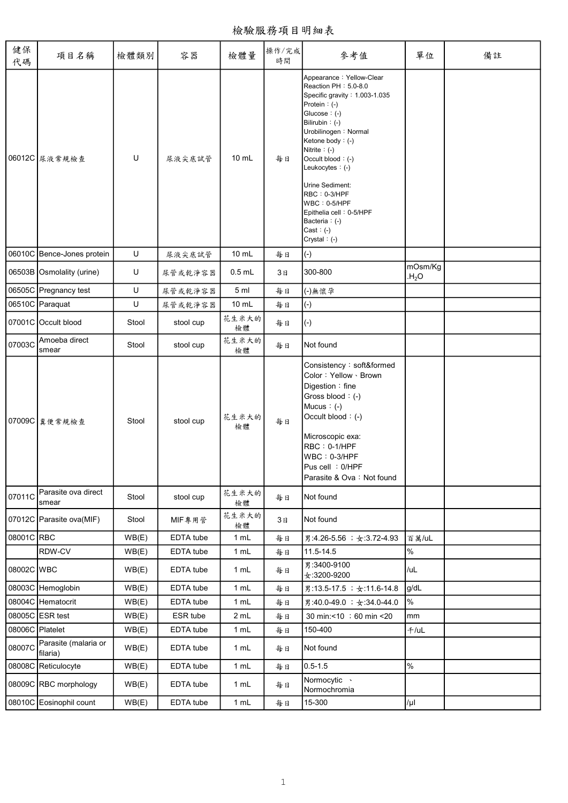檢驗服務項目明細表

| 健保<br>代碼        | 項目名稱                             | 檢體類別  | 容器        | 檢體量             | 操作/完成<br>時間 | 參考值                                                                                                                                                                                                                                                                                                                                                                           | 單位                          | 備註 |
|-----------------|----------------------------------|-------|-----------|-----------------|-------------|-------------------------------------------------------------------------------------------------------------------------------------------------------------------------------------------------------------------------------------------------------------------------------------------------------------------------------------------------------------------------------|-----------------------------|----|
|                 | 06012C 尿液常規檢查                    | U     | 尿液尖底試管    | $10 \text{ mL}$ | 每日          | Appearance: Yellow-Clear<br>Reaction PH: 5.0-8.0<br>Specific gravity: 1.003-1.035<br>Protein $: (-)$<br>Glucose: (-)<br>Bilirubin: (-)<br>Urobilinogen: Normal<br>Ketone body: (-)<br>Nitrite $:(-)$<br>Occult blood: (-)<br>Leukocytes: (-)<br>Urine Sediment:<br>RBC: 0-3/HPF<br>$WBC : 0-5/HPF$<br>Epithelia cell: 0-5/HPF<br>Bacteria: (-)<br>Cast: $(-)$<br>Crystal: (-) |                             |    |
|                 | 06010C Bence-Jones protein       | U     | 尿液尖底試管    | 10 mL           | 每日          | $(-)$                                                                                                                                                                                                                                                                                                                                                                         |                             |    |
|                 | 06503B Osmolality (urine)        | U     | 尿管或乾淨容器   | $0.5$ mL        | 3日          | 300-800                                                                                                                                                                                                                                                                                                                                                                       | mOsm/Kg<br>H <sub>2</sub> O |    |
|                 | 06505C Pregnancy test            | U     | 尿管或乾淨容器   | 5 <sub>ml</sub> | 每日          | (-)無懷孕                                                                                                                                                                                                                                                                                                                                                                        |                             |    |
|                 | 06510C Paraquat                  | U     | 尿管或乾淨容器   | $10 \text{ mL}$ | 每日          | $(-)$                                                                                                                                                                                                                                                                                                                                                                         |                             |    |
|                 | 07001C Occult blood              | Stool | stool cup | 花生米大的<br>檢體     | 每日          | $(-)$                                                                                                                                                                                                                                                                                                                                                                         |                             |    |
| 07003C          | Amoeba direct<br>smear           | Stool | stool cup | 花生米大的<br>檢體     | 每日          | Not found                                                                                                                                                                                                                                                                                                                                                                     |                             |    |
|                 | 07009C 糞便常規檢查                    | Stool | stool cup | 花生米大的<br>檢體     | 每日          | Consistency: soft&formed<br>Color: Yellow · Brown<br>Digestion: fine<br>Gross blood: (-)<br>Mucus $: (-)$<br>Occult blood: (-)<br>Microscopic exa:<br>RBC: 0-1/HPF<br>$WBC : 0-3/HPF$<br>Pus cell : 0/HPF<br>Parasite & Ova: Not found                                                                                                                                        |                             |    |
| 07011C          | Parasite ova direct<br>smear     | Stool | stool cup | 花生米大的<br>檢體     | 每日          | Not found                                                                                                                                                                                                                                                                                                                                                                     |                             |    |
|                 | 07012C Parasite ova(MIF)         | Stool | MIF專用管    | 花生米大的<br>檢體     | 3日          | Not found                                                                                                                                                                                                                                                                                                                                                                     |                             |    |
| 08001C RBC      |                                  | WB(E) | EDTA tube | 1 mL            | 每日          | 男:4.26-5.56; 女:3.72-4.93                                                                                                                                                                                                                                                                                                                                                      | 百萬/uL                       |    |
|                 | RDW-CV                           | WB(E) | EDTA tube | 1 mL            | 每日          | 11.5-14.5                                                                                                                                                                                                                                                                                                                                                                     | $\%$                        |    |
| 08002C WBC      |                                  | WB(E) | EDTA tube | 1 mL            | 每日          | 男:3400-9100<br>$\pm$ :3200-9200                                                                                                                                                                                                                                                                                                                                               | /uL                         |    |
|                 | 08003C Hemoglobin                | WB(E) | EDTA tube | 1 mL            | 每日          | 男:13.5-17.5; 女:11.6-14.8                                                                                                                                                                                                                                                                                                                                                      | g/dL                        |    |
|                 | 08004C Hematocrit                | WB(E) | EDTA tube | 1 mL            | 每日          | 男:40.0-49.0; 女:34.0-44.0                                                                                                                                                                                                                                                                                                                                                      | %                           |    |
|                 | 08005C ESR test                  | WB(E) | ESR tube  | 2 mL            | 每日          | 30 min:<10 ; 60 min <20                                                                                                                                                                                                                                                                                                                                                       | mm                          |    |
| 08006C Platelet |                                  | WB(E) | EDTA tube | 1 mL            | 每日          | 150-400                                                                                                                                                                                                                                                                                                                                                                       | $+$ /uL                     |    |
| 08007C          | Parasite (malaria or<br>filaria) | WB(E) | EDTA tube | 1 mL            | 每日          | Not found                                                                                                                                                                                                                                                                                                                                                                     |                             |    |
|                 | 08008C Reticulocyte              | WB(E) | EDTA tube | 1 mL            | 每日          | $0.5 - 1.5$                                                                                                                                                                                                                                                                                                                                                                   | $\%$                        |    |
|                 | 08009C RBC morphology            | WB(E) | EDTA tube | 1 mL            | 每日          | Normocytic .<br>Normochromia                                                                                                                                                                                                                                                                                                                                                  |                             |    |
|                 | 08010C Eosinophil count          | WB(E) | EDTA tube | 1 mL            | 每日          | 15-300                                                                                                                                                                                                                                                                                                                                                                        | /µI                         |    |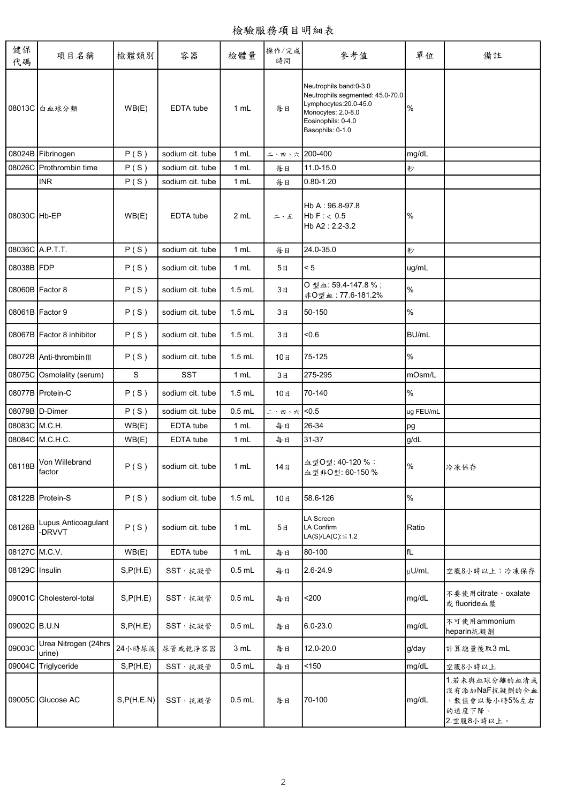| 健保<br>代碼       | 項目名稱                            | 檢體類別        | 容器               | 檢體量      | 操作/完成<br>時間   | 參考值                                                                                                                                                 | 單位            | 備註                                                                      |
|----------------|---------------------------------|-------------|------------------|----------|---------------|-----------------------------------------------------------------------------------------------------------------------------------------------------|---------------|-------------------------------------------------------------------------|
|                | 08013C 白血球分類                    | WB(E)       | EDTA tube        | 1 mL     | 每日            | Neutrophils band:0-3.0<br>Neutrophils segmented: 45.0-70.0<br>Lymphocytes:20.0-45.0<br>Monocytes: 2.0-8.0<br>Eosinophils: 0-4.0<br>Basophils: 0-1.0 | $\frac{9}{6}$ |                                                                         |
|                | 08024B Fibrinogen               | P(S)        | sodium cit. tube | 1 mL     | 二、四、六 200-400 |                                                                                                                                                     | mg/dL         |                                                                         |
|                | 08026C Prothrombin time         | P(S)        | sodium cit. tube | 1 mL     | 每日            | 11.0-15.0                                                                                                                                           | 秒             |                                                                         |
|                | <b>INR</b>                      | P(S)        | sodium cit. tube | 1 mL     | 每日            | 0.80-1.20                                                                                                                                           |               |                                                                         |
| 08030C Hb-EP   |                                 | WB(E)       | EDTA tube        | 2 mL     | 二、五           | Hb A: 96.8-97.8<br>HbF: < 0.5<br>Hb A2: 2.2-3.2                                                                                                     | %             |                                                                         |
|                | 08036C A.P.T.T.                 | P(S)        | sodium cit. tube | 1 mL     | 每日            | 24.0-35.0                                                                                                                                           | 秒             |                                                                         |
| 08038B FDP     |                                 | P(S)        | sodium cit. tube | 1 mL     | 5日            | < 5                                                                                                                                                 | ug/mL         |                                                                         |
|                | 08060B   Factor 8               | P(S)        | sodium cit. tube | $1.5$ mL | 3日            | O型血:59.4-147.8%;<br>非O型血: 77.6-181.2%                                                                                                               | %             |                                                                         |
|                | 08061B Factor 9                 | P(S)        | sodium cit. tube | $1.5$ mL | 3日            | 50-150                                                                                                                                              | %             |                                                                         |
|                | 08067B   Factor 8 inhibitor     | P(S)        | sodium cit. tube | $1.5$ mL | 3日            | $-0.6$                                                                                                                                              | <b>BU/mL</b>  |                                                                         |
|                | 08072B Anti-thrombin III        | P(S)        | sodium cit. tube | $1.5$ mL | 10日           | 75-125                                                                                                                                              | $\%$          |                                                                         |
|                | 08075C Osmolality (serum)       | S           | <b>SST</b>       | 1 mL     | 3日            | 275-295                                                                                                                                             | mOsm/L        |                                                                         |
|                | 08077B Protein-C                | P(S)        | sodium cit. tube | $1.5$ mL | 10日           | 70-140                                                                                                                                              | %             |                                                                         |
|                | 08079B D-Dimer                  | P(S)        | sodium cit. tube | $0.5$ mL | 二、四、六 <0.5    |                                                                                                                                                     | ug FEU/mL     |                                                                         |
| 08083C M.C.H.  |                                 | WB(E)       | EDTA tube        | 1 mL     | 每日            | 26-34                                                                                                                                               | pg            |                                                                         |
|                | 08084C M.C.H.C.                 | WB(E)       | EDTA tube        | 1 mL     | 每日            | 31-37                                                                                                                                               | g/dL          |                                                                         |
|                | 08118B Von Willebrand<br>factor | P(S)        | sodium cit. tube | 1 mL     | 14日           | 血型O型: 40-120%;<br>血型非O型:60-150%                                                                                                                     | %             | 冷凍保存                                                                    |
|                | 08122B Protein-S                | P(S)        | sodium cit. tube | $1.5$ mL | 10日           | 58.6-126                                                                                                                                            | %             |                                                                         |
| 08126B         | Lupus Anticoagulant<br>-DRVVT   | P(S)        | sodium cit. tube | 1 mL     | 5日            | LA Screen<br>LA Confirm<br>$LA(S)/LA(C): \leq 1.2$                                                                                                  | Ratio         |                                                                         |
| 08127C M.C.V.  |                                 | WB(E)       | EDTA tube        | 1 mL     | 每日            | 80-100                                                                                                                                              | fL            |                                                                         |
| 08129C Insulin |                                 | S, P(H.E)   | SST, 抗凝管         | $0.5$ mL | 每日            | 2.6-24.9                                                                                                                                            | µU/mL         | 空腹8小時以上;冷凍保存                                                            |
|                | 09001C Cholesterol-total        | S, P(H.E)   | SST, 抗凝管         | $0.5$ mL | 每日            | $200$                                                                                                                                               | mg/dL         | 不要使用citrate、oxalate<br>或fluoride血漿                                      |
| 09002C B.U.N   |                                 | S, P(H.E)   | SST, 抗凝管         | $0.5$ mL | 每日            | 6.0-23.0                                                                                                                                            | mg/dL         | 不可使用ammonium<br>heparin抗凝劑                                              |
| 09003C         | Urea Nitrogen (24hrs<br>urine)  | 24小時尿液      | 尿管或乾淨容器          | 3 mL     | 每日            | 12.0-20.0                                                                                                                                           | g/day         | 計算總量後取3 mL                                                              |
|                | 09004C Triglyceride             | S, P(H.E)   | SST, 抗凝管         | $0.5$ mL | 每日            | 150                                                                                                                                                 | mg/dL         | 空腹8小時以上                                                                 |
|                | 09005C Glucose AC               | S, P(H.E.N) | SST, 抗凝管         | $0.5$ mL | 每日            | 70-100                                                                                                                                              | mg/dL         | 1.若未與血球分離的血清或<br>沒有添加NaF抗凝劑的全血<br>, 數值會以每小時5%左右<br>的速度下降。<br>2.空腹8小時以上。 |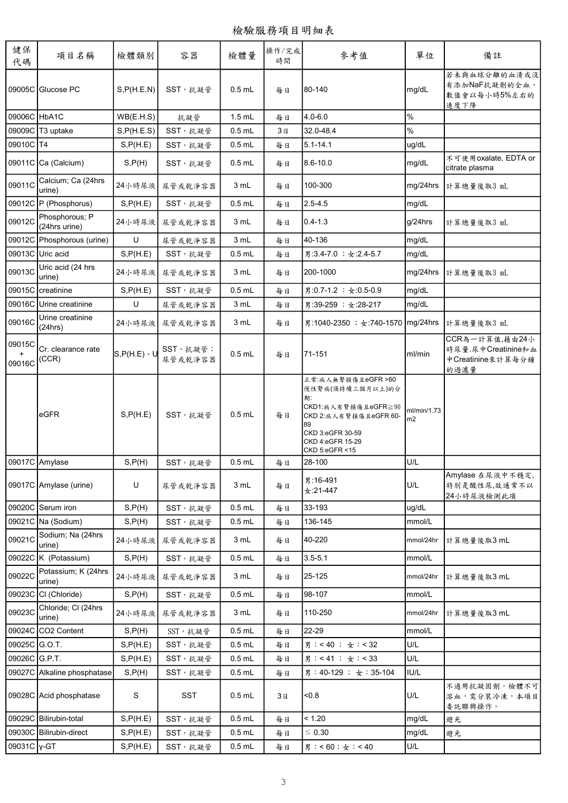| 健保<br>代碼         | 項目名稱                                                   | 檢體類別                | 容器                   | 檢體量                  | 操作/完成<br>時間 | 參考值                                                                                                                                                           | 單位                            | 備註                                                                |
|------------------|--------------------------------------------------------|---------------------|----------------------|----------------------|-------------|---------------------------------------------------------------------------------------------------------------------------------------------------------------|-------------------------------|-------------------------------------------------------------------|
|                  | 09005C Glucose PC                                      | S, P(H.E.N)         | SST, 抗凝管             | $0.5$ mL             | 每日          | 80-140                                                                                                                                                        | mg/dL                         | 若未與血球分離的血清或沒<br>有添加NaF抗凝劑的全血,<br>數值會以每小時5%左右的<br>速度下降             |
| 09006C HbA1C     |                                                        | WB(E.H.S)           | 抗凝管                  | $1.5$ mL             | 每日          | 4.0-6.0                                                                                                                                                       | %                             |                                                                   |
|                  | 09009C T3 uptake                                       | S, P(H.E.S)         | SST,抗凝管              | $0.5$ mL             | 3日          | 32.0-48.4                                                                                                                                                     | %                             |                                                                   |
| 09010C T4        |                                                        | S, P(H.E)           | SST,抗凝管              | $0.5$ mL             | 每日          | $5.1 - 14.1$                                                                                                                                                  | ug/dL                         |                                                                   |
|                  | 09011C Ca (Calcium)                                    | S, P(H)             | SST, 抗凝管             | $0.5$ mL             | 每日          | $8.6 - 10.0$                                                                                                                                                  | mg/dL                         | 不可使用oxalate, EDTA or<br>citrate plasma                            |
| 09011C           | Calcium; Ca (24hrs<br>urine)                           | 24小時尿液              | 尿管或乾淨容器              | 3 mL                 | 每日          | 100-300                                                                                                                                                       | mg/24hrs                      | 計算總量後取3 mL                                                        |
|                  | 09012C P (Phosphorus)                                  | S, P(H.E)           | SST, 抗凝管             | $0.5$ mL             | 每日          | $2.5 - 4.5$                                                                                                                                                   | mg/dL                         |                                                                   |
| 09012C           | Phosphorous; P<br>(24hrs urine)                        |                     | 24小時尿液 尿管或乾淨容器       | 3 mL                 | 每日          | $0.4 - 1.3$                                                                                                                                                   | g/24hrs                       | 計算總量後取3 mL                                                        |
|                  | 09012C Phosphorous (urine)                             | U                   | 尿管或乾淨容器              | 3 mL                 | 每日          | 40-136                                                                                                                                                        | mg/dL                         |                                                                   |
|                  | 09013C Uric acid                                       | S, P(H.E)           | SST, 抗凝管             | $0.5$ mL             | 每日          | 男:3.4-7.0; 女:2.4-5.7                                                                                                                                          | mg/dL                         |                                                                   |
| 09013C           | Uric acid (24 hrs<br>urine)                            | 24小時尿液              | 尿管或乾淨容器              | 3 mL                 | 每日          | 200-1000                                                                                                                                                      | mg/24hrs                      | 計算總量後取3 mL                                                        |
|                  | 09015C creatinine                                      | S, P(H.E)           | SST, 抗凝管             | $0.5$ mL             | 每日          | 男:0.7-1.2 ; 女:0.5-0.9                                                                                                                                         | mg/dL                         |                                                                   |
|                  | 09016C Urine creatinine                                | U                   | 尿管或乾淨容器              | 3 mL                 | 每日          | 男:39-259 ; $\div$ :28-217                                                                                                                                     | mg/dL                         |                                                                   |
| 09016C           | Urine creatinine<br>(24hrs)                            | 24小時尿液              | 尿管或乾淨容器              | 3 mL                 | 每日          | 男:1040-2350 ; 女:740-1570                                                                                                                                      | mg/24hrs                      | 計算總量後取3 mL                                                        |
| 09015C<br>09016C | Cr. clearance rate<br>(CCR)                            | $S, P(H.E) \cdot U$ | SST, 抗凝管;<br>尿管或乾淨容器 | $0.5$ mL             | 每日          | 71-151                                                                                                                                                        | ml/min                        | CCR為一計算值,藉由24小<br>時尿量.尿中Creatinine和血<br>中Creatinine來計算每分鐘<br>的過濾量 |
|                  | eGFR                                                   | S, P(H.E)           | SST, 抗凝管             | $0.5$ mL             | 每日          | 正常:病人無腎損傷且eGFR >60<br>慢性腎病(須持續三個月以上)的分<br>期:<br>CKD1:病人有腎損傷且eGFR≧90<br>CKD 2: 病人有腎損傷且eGFR 60-<br>89<br>CKD 3:eGFR 30-59<br>CKD 4:eGFR 15-29<br>CKD 5:eGFR <15 | ml/min/1.73<br>m <sub>2</sub> |                                                                   |
|                  | 09017C Amylase                                         | S, P(H)             | SST, 抗凝管             | $0.5$ mL             | 每日          | 28-100                                                                                                                                                        | U/L                           |                                                                   |
|                  | 09017C Amylase (urine)                                 | U                   | 尿管或乾淨容器              | 3 mL                 | 每日          | 男:16-491<br>女:21-447                                                                                                                                          | U/L                           | Amylase 在尿液中不穩定,<br>特别是酸性尿,故通常不以<br>24小時尿液檢測此項                    |
|                  | 09020C Serum iron                                      | S, P(H)             | SST, 抗凝管             | $0.5$ mL             | 每日          | 33-193                                                                                                                                                        | ug/dL                         |                                                                   |
|                  | 09021C Na (Sodium)                                     | S, P(H)             | SST,抗凝管              | $0.5$ mL             | 每日          | 136-145                                                                                                                                                       | mmol/L                        |                                                                   |
| 09021C           | Sodium; Na (24hrs<br>urine)                            | 24小時尿液              | 尿管或乾淨容器              | 3 mL                 | 每日          | 40-220                                                                                                                                                        | mmol/24hr                     | 計算總量後取3 mL                                                        |
|                  | 09022C K (Potassium)                                   | S, P(H)             | SST, 抗凝管             | $0.5$ mL             | 每日          | $3.5 - 5.1$                                                                                                                                                   | mmol/L                        |                                                                   |
| 09022C           | Potassium; K (24hrs<br>urine)                          | 24小時尿液              | 尿管或乾淨容器              | 3 mL                 | 每日          | 25-125                                                                                                                                                        | mmol/24hr                     | 計算總量後取3 mL                                                        |
|                  | 09023C CI (Chloride)                                   | S, P(H)             | SST, 抗凝管             | $0.5$ mL             | 每日          | 98-107                                                                                                                                                        | mmol/L                        |                                                                   |
| 09023C           | Chloride; Cl (24hrs<br>urine)                          | 24小時尿液              | 尿管或乾淨容器              | 3 mL                 | 每日          | 110-250                                                                                                                                                       | mmol/24hr                     | 計算總量後取3 mL                                                        |
|                  | 09024C CO2 Content                                     | S, P(H)             | SST, 抗凝管             | $0.5$ mL             | 每日          | 22-29                                                                                                                                                         | mmol/L                        |                                                                   |
| 09025C G.O.T.    |                                                        | S, P(H.E)           | SST, 抗凝管             | $0.5$ mL             | 每日          | 男:<40; 女:<32                                                                                                                                                  | U/L                           |                                                                   |
| 09026C G.P.T.    |                                                        | S, P(H.E)           | SST, 抗凝管             | $0.5$ mL             | 每日          | 男: < 41 ; 女: < 33                                                                                                                                             | U/L                           |                                                                   |
|                  | 09027C Alkaline phosphatase<br>09028C Acid phosphatase | S, P(H)<br>S        | SST, 抗凝管<br>SST      | $0.5$ mL<br>$0.5$ mL | 每日<br>3日    | 男: 40-129; 女: 35-104<br>&0.8                                                                                                                                  | IUI/L<br>U/L                  | 不適用抗凝固劑,檢體不可<br>溶血,需分裝冷凍,本項目<br>委託聯興操作。                           |
|                  | 09029C Bilirubin-total                                 | S, P(H.E)           | SST, 抗凝管             | $0.5$ mL             | 每日          | < 1.20                                                                                                                                                        | mg/dL                         | 避光                                                                |
|                  | 09030C Bilirubin-direct                                | S, P(H.E)           | SST, 抗凝管             | $0.5$ mL             | 每日          | $\leq 0.30$                                                                                                                                                   | mg/dL                         | 避光                                                                |
| 09031C Y-GT      |                                                        | S, P(H.E)           | SST, 抗凝管             | $0.5$ mL             | 每日          | 男:<60;女:<40                                                                                                                                                   | U/L                           |                                                                   |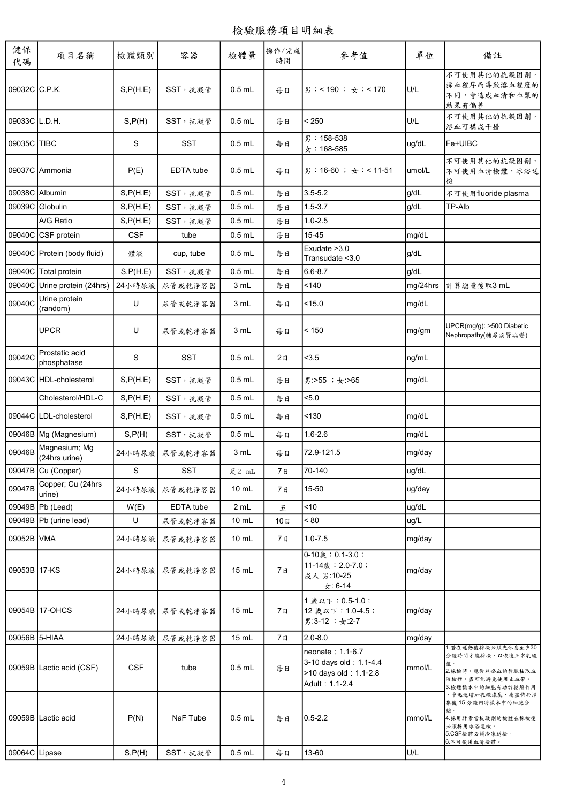| 健保<br>代碼      | 項目名稱                           | 檢體類別       | 容器             | 檢體量             | 操作/完成<br>時間 | 參考值                                                                                   | 單位       | 備註                                                                                                             |
|---------------|--------------------------------|------------|----------------|-----------------|-------------|---------------------------------------------------------------------------------------|----------|----------------------------------------------------------------------------------------------------------------|
| 09032C C.P.K. |                                | S, P(H.E)  | SST, 抗凝管       | $0.5$ mL        | 每日          | 男:< 190 ; 女:< 170                                                                     | U/L      | 不可使用其他的抗凝固劑,<br>採血程序而導致溶血程度的<br>不同,會造成血清和血漿的<br>結果有偏差                                                          |
| 09033C L.D.H. |                                | S, P(H)    | SST, 抗凝管       | $0.5$ mL        | 每日          | < 250                                                                                 | U/L      | 不可使用其他的抗凝固劑,<br>溶血可構成干擾                                                                                        |
| 09035C TIBC   |                                | S          | <b>SST</b>     | $0.5$ mL        | 每日          | 男: 158-538<br>$\pm$ : 168-585                                                         | ug/dL    | Fe+UIBC                                                                                                        |
|               | 09037C Ammonia                 | P(E)       | EDTA tube      | $0.5$ mL        | 每日          | 男:16-60 ; 女:< 11-51                                                                   | umol/L   | 不可使用其他的抗凝固劑,<br>不可使用血清檢體,冰浴送<br>檢                                                                              |
|               | 09038C Albumin                 | S, P(H.E)  | SST,抗凝管        | $0.5$ mL        | 每日          | $3.5 - 5.2$                                                                           | g/dL     | 不可使用fluoride plasma                                                                                            |
|               | 09039C Globulin                | S, P(H.E)  | SST, 抗凝管       | $0.5$ mL        | 每日          | $1.5 - 3.7$                                                                           | g/dL     | TP-Alb                                                                                                         |
|               | A/G Ratio                      | S, P(H.E)  | SST,抗凝管        | $0.5$ mL        | 每日          | $1.0 - 2.5$                                                                           |          |                                                                                                                |
|               | 09040C CSF protein             | <b>CSF</b> | tube           | $0.5$ mL        | 每日          | 15-45                                                                                 | mg/dL    |                                                                                                                |
|               | 09040C Protein (body fluid)    | 體液         | cup, tube      | $0.5$ mL        | 每日          | Exudate > 3.0<br>Transudate < 3.0                                                     | g/dL     |                                                                                                                |
|               | 09040C Total protein           | S, P(H.E)  | SST, 抗凝管       | $0.5$ mL        | 每日          | $6.6 - 8.7$                                                                           | g/dL     |                                                                                                                |
|               | 09040C Urine protein (24hrs)   | 24小時尿液     | 尿管或乾淨容器        | 3 mL            | 每日          | 140                                                                                   | mg/24hrs | 計算總量後取3 mL                                                                                                     |
| 09040C        | Urine protein<br>(random)      | U          | 尿管或乾淨容器        | 3 mL            | 每日          | $<$ 15.0                                                                              | mg/dL    |                                                                                                                |
|               | <b>UPCR</b>                    | U          | 尿管或乾净容器        | 3 mL            | 每日          | < 150                                                                                 | mg/gm    | UPCR(mg/g): >500 Diabetic<br>Nephropathy(糖尿病腎病變)                                                               |
| 09042C        | Prostatic acid<br>phosphatase  | S          | <b>SST</b>     | $0.5$ mL        | 2a          | < 3.5                                                                                 | ng/mL    |                                                                                                                |
|               | 09043C HDL-cholesterol         | S, P(H.E)  | SST, 抗凝管       | $0.5$ mL        | 每日          | 男:>55;女:>65                                                                           | mg/dL    |                                                                                                                |
|               | Cholesterol/HDL-C              | S, P(H.E)  | SST, 抗凝管       | $0.5$ mL        | 每日          | 5.0                                                                                   |          |                                                                                                                |
|               | 09044C LDL-cholesterol         | S, P(H.E)  | SST, 抗凝管       | $0.5$ mL        | 每日          | 130                                                                                   | mg/dL    |                                                                                                                |
|               | 09046B Mg (Magnesium)          | S, P(H)    | SST, 抗凝管       | $0.5$ mL        | 每日          | $1.6 - 2.6$                                                                           | mg/dL    |                                                                                                                |
| 09046B        | Magnesium; Mg<br>(24hrs urine) |            | 24小時尿液 尿管或乾淨容器 | 3 mL            | 每日          | 72.9-121.5                                                                            | mg/day   |                                                                                                                |
|               | 09047B Cu (Copper)             | S          | <b>SST</b>     | 足2 mL           | 7日          | 70-140                                                                                | ug/dL    |                                                                                                                |
| 09047B        | Copper; Cu (24hrs<br>urine)    |            | 24小時尿液 尿管或乾淨容器 | 10 mL           | 7日          | 15-50                                                                                 | ug/day   |                                                                                                                |
|               | 09049B   Pb (Lead)             | W(E)       | EDTA tube      | 2 mL            | 五           | ~10                                                                                   | ug/dL    |                                                                                                                |
|               | 09049B   Pb (urine lead)       | U          | 尿管或乾淨容器        | 10 mL           | 10日         | ~80                                                                                   | ug/L     |                                                                                                                |
| 09052B VMA    |                                | 24小時尿液     | 尿管或乾淨容器        | $10 \text{ mL}$ | 7日          | $1.0 - 7.5$                                                                           | mg/day   |                                                                                                                |
| 09053B 17-KS  |                                |            | 24小時尿液 尿管或乾淨容器 | $15$ mL         | 7日          | $0-10$ 成 : 0.1-3.0;<br>11-14歲: 2.0-7.0;<br>成人男:10-25<br>$\pm$ : 6-14                  | mg/day   |                                                                                                                |
|               | 09054B 17-OHCS                 |            | 24小時尿液 尿管或乾淨容器 | $15 \text{ mL}$ | 7日          | 1 歲以下: 0.5-1.0;<br>12 歲以下: 1.0-4.5;<br>男:3-12;女:2-7                                   | mg/day   |                                                                                                                |
| 09056B 5-HIAA |                                | 24小時尿液     | 尿管或乾淨容器        | 15 mL           | 7日          | $2.0 - 8.0$                                                                           | mg/day   |                                                                                                                |
|               | 09059B Lactic acid (CSF)       | <b>CSF</b> | tube           | $0.5$ mL        | 每日          | neonate: 1.1-6.7<br>3-10 days old: 1.1-4.4<br>>10 days old: 1.1-2.8<br>Adult: 1.1-2.4 | mmol/L   | 1.若在運動後採檢必須先休息至少30<br>分鐘時間才能採檢,以恢復正常乳酸<br>值。<br>2.採檢時,應從無瘀血的靜脈抽取血<br>液檢體,盡可能避免使用止血帶。<br>3.檢體樣本中的細胞有助於糖解作用      |
|               | 09059B Lactic acid             | P(N)       | NaF Tube       | $0.5$ mL        | 每日          | $0.5 - 2.2$                                                                           | mmol/L   | ,會迅速增加乳酸濃度,應盡快於採<br>集後 15 分鐘內將樣本中的細胞分<br>離。<br>4.採用肝素當抗凝劑的檢體在採檢後<br>必須採用冰浴送檢。<br>5.CSF檢體必須冷凍送檢。<br>6.不可使用血清檢體。 |
| 09064C Lipase |                                | S, P(H)    | SST, 抗凝管       | $0.5$ mL        | 每日          | 13-60                                                                                 | U/L      |                                                                                                                |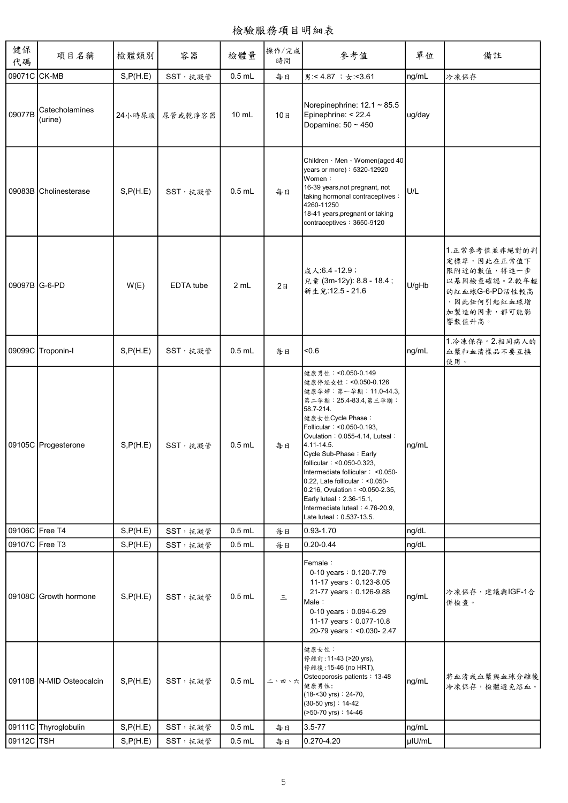檢驗服務項目明細表

| 健保<br>代碼       | 項目名稱                      | 檢體類別      | 容器             | 檢體量             | 操作/完成<br>時間    | 參考值                                                                                                                                                                                                                                                                                                                                                                                                                                                                           | 單位     | 備註                                                                                                                      |
|----------------|---------------------------|-----------|----------------|-----------------|----------------|-------------------------------------------------------------------------------------------------------------------------------------------------------------------------------------------------------------------------------------------------------------------------------------------------------------------------------------------------------------------------------------------------------------------------------------------------------------------------------|--------|-------------------------------------------------------------------------------------------------------------------------|
| 09071C CK-MB   |                           | S, P(H.E) | SST, 抗凝管       | $0.5$ mL        | 每日             | 男:< 4.87; + < 3.61                                                                                                                                                                                                                                                                                                                                                                                                                                                            | ng/mL  | 冷凍保存                                                                                                                    |
| 09077B         | Catecholamines<br>(urine) |           | 24小時尿液 尿管或乾淨容器 | $10 \text{ mL}$ | 10日            | Norepinephrine: $12.1 \approx 85.5$<br>Epinephrine: < 22.4<br>Dopamine: 50 ~ 450                                                                                                                                                                                                                                                                                                                                                                                              | ug/day |                                                                                                                         |
|                | 09083B Cholinesterase     | S, P(H.E) | SST, 抗凝管       | $0.5$ mL        | 每日             | Children · Men · Women(aged 40<br>years or more): 5320-12920<br>Women:<br>16-39 years, not pregnant, not<br>taking hormonal contraceptives :<br>4260-11250<br>18-41 years, pregnant or taking<br>contraceptives: 3650-9120                                                                                                                                                                                                                                                    | U/L    |                                                                                                                         |
| 09097B G-6-PD  |                           | W(E)      | EDTA tube      | 2 mL            | 2 <sub>B</sub> | 成人:6.4-12.9;<br>兒童 (3m-12y): 8.8 - 18.4;<br>新生兒:12.5 - 21.6                                                                                                                                                                                                                                                                                                                                                                                                                   | U/gHb  | 1.正常參考值並非絕對的判<br>定標準,因此在正常值下<br>限附近的數值,得進一步<br>以基因檢查確認。2.較年輕<br>的紅血球G-6-PD活性較高<br>, 因此任何引起紅血球增<br>加製造的因素,都可能影<br>響數值升高。 |
|                | 09099C Troponin-I         | S, P(H.E) | SST, 抗凝管       | $0.5$ mL        | 每日             | < 0.6                                                                                                                                                                                                                                                                                                                                                                                                                                                                         | ng/mL  | 1.冷凍保存。2.相同病人的<br>血漿和血清樣品不要互換<br>使用。                                                                                    |
|                | 09105C Progesterone       | S, P(H.E) | SST, 抗凝管       | $0.5$ mL        | 每日             | 健康男性: <0.050-0.149<br>健康停經女性: <0.050-0.126<br>健康孕婦:第一孕期:11.0-44.3,<br>第二孕期: 25.4-83.4, 第三孕期:<br>58.7-214.<br>健康女性Cycle Phase:<br>Follicular: < 0.050-0.193,<br>Ovulation: 0.055-4.14, Luteal:<br>4.11-14.5.<br>Cycle Sub-Phase: Early<br>follicular: <0.050-0.323,<br>Intermediate follicular: <0.050-<br>$0.22$ , Late follicular: < $0.050$ -<br>0.216, Ovulation: < 0.050-2.35,<br>Early luteal: 2.36-15.1,<br>Intermediate luteal: 4.76-20.9,<br>Late luteal: 0.537-13.5. | ng/mL  |                                                                                                                         |
| 09106C Free T4 |                           | S, P(H.E) | SST, 抗凝管       | $0.5$ mL        | 每日             | 0.93-1.70                                                                                                                                                                                                                                                                                                                                                                                                                                                                     | ng/dL  |                                                                                                                         |
| 09107C Free T3 |                           | S, P(H.E) | SST, 抗凝管       | $0.5$ mL        | 每日             | $0.20 - 0.44$                                                                                                                                                                                                                                                                                                                                                                                                                                                                 | ng/dL  |                                                                                                                         |
|                | 09108C Growth hormone     | S, P(H.E) | SST, 抗凝管       | $0.5$ mL        | $\equiv$       | Female:<br>0-10 years: 0.120-7.79<br>11-17 years: 0.123-8.05<br>21-77 years: 0.126-9.88<br>Male:<br>0-10 years: 0.094-6.29<br>11-17 years: 0.077-10.8<br>20-79 years: < 0.030-2.47                                                                                                                                                                                                                                                                                            | ng/mL  | 冷凍保存,建議與IGF-1合<br>併檢查。                                                                                                  |
|                | 09110B N-MID Osteocalcin  | S, P(H.E) | SST, 抗凝管       | $0.5$ mL        | 二、四、六          | 健康女性:<br>停經前: 11-43 (>20 yrs),<br>停經後: 15-46 (no HRT),<br>Osteoporosis patients: 13-48<br>健康男性:<br>(18-<30 yrs): 24-70,<br>(30-50 yrs): 14-42<br>(>50-70 yrs): 14-46                                                                                                                                                                                                                                                                                                          | ng/mL  | 將血清或血漿與血球分離後<br>冷凍保存,檢體避免溶血。                                                                                            |
|                | 09111C Thyroglobulin      | S, P(H.E) | SST, 抗凝管       | $0.5$ mL        | 每日             | $3.5 - 77$                                                                                                                                                                                                                                                                                                                                                                                                                                                                    | ng/mL  |                                                                                                                         |
| 09112C TSH     |                           | S, P(H.E) | SST,抗凝管        | $0.5$ mL        | 每日             | 0.270-4.20                                                                                                                                                                                                                                                                                                                                                                                                                                                                    | µIU/mL |                                                                                                                         |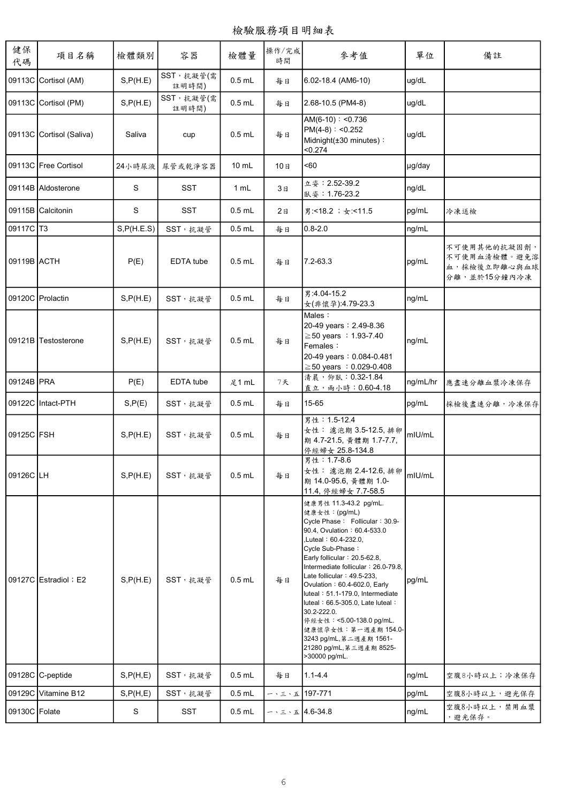| 健保<br>代碼      | 項目名稱                     | 檢體類別        | 容器                  | 檢體量      | 操作/完成<br>時間      | 參考值                                                                                                                                                                                                                                                                                                                                                                                                                                                                                                         | 單位       | 備註                                                           |
|---------------|--------------------------|-------------|---------------------|----------|------------------|-------------------------------------------------------------------------------------------------------------------------------------------------------------------------------------------------------------------------------------------------------------------------------------------------------------------------------------------------------------------------------------------------------------------------------------------------------------------------------------------------------------|----------|--------------------------------------------------------------|
|               | 09113C Cortisol (AM)     | S, P(H.E)   | SST, 抗凝管(需<br>註明時間) | $0.5$ mL | 每日               | 6.02-18.4 (AM6-10)                                                                                                                                                                                                                                                                                                                                                                                                                                                                                          | ug/dL    |                                                              |
|               | 09113C Cortisol (PM)     | S, P(H.E)   | SST, 抗凝管(需<br>註明時間) | $0.5$ mL | 每日               | 2.68-10.5 (PM4-8)                                                                                                                                                                                                                                                                                                                                                                                                                                                                                           | ug/dL    |                                                              |
|               | 09113C Cortisol (Saliva) | Saliva      | cup                 | $0.5$ mL | 每日               | $AM(6-10): <0.736$<br>$PM(4-8) : <0.252$<br>Midnight(±30 minutes):<br>< 0.274                                                                                                                                                                                                                                                                                                                                                                                                                               | ug/dL    |                                                              |
|               | 09113C Free Cortisol     | 24小時尿液      | 尿管或乾淨容器             | $10$ mL  | 10日              | <60                                                                                                                                                                                                                                                                                                                                                                                                                                                                                                         | µg/day   |                                                              |
|               | 09114B Aldosterone       | S           | <b>SST</b>          | 1 mL     | 3日               | 立姿: 2.52-39.2<br>臥姿: 1.76-23.2                                                                                                                                                                                                                                                                                                                                                                                                                                                                              | ng/dL    |                                                              |
|               | 09115B Calcitonin        | S           | <b>SST</b>          | $0.5$ mL | 2a               | 男:<18.2; 女:<11.5                                                                                                                                                                                                                                                                                                                                                                                                                                                                                            | pg/mL    | 冷凍送檢                                                         |
| 09117C T3     |                          | S, P(H.E.S) | SST, 抗凝管            | $0.5$ mL | 每日               | $0.8 - 2.0$                                                                                                                                                                                                                                                                                                                                                                                                                                                                                                 | ng/mL    |                                                              |
| 09119B ACTH   |                          | P(E)        | EDTA tube           | $0.5$ mL | 每日               | $7.2 - 63.3$                                                                                                                                                                                                                                                                                                                                                                                                                                                                                                | pg/mL    | 不可使用其他的抗凝固劑,<br>不可使用血清檢體。避免溶<br>血,採檢後立即離心與血球<br>分離,並於15分鐘內冷凍 |
|               | 09120C Prolactin         | S, P(H.E)   | SST,抗凝管             | $0.5$ mL | 每日               | 男:4.04-15.2<br>女(非懷孕):4.79-23.3                                                                                                                                                                                                                                                                                                                                                                                                                                                                             | ng/mL    |                                                              |
|               | 09121B Testosterone      | S, P(H.E)   | SST, 抗凝管            | $0.5$ mL | 每日               | Males:<br>20-49 years: 2.49-8.36<br>≧50 years : 1.93-7.40<br>Females:<br>20-49 years: 0.084-0.481<br>$\geq$ 50 years : 0.029-0.408                                                                                                                                                                                                                                                                                                                                                                          | ng/mL    |                                                              |
| 09124B PRA    |                          | P(E)        | EDTA tube           | 足1 mL    | 7天               | 清晨,仰臥: 0.32-1.84<br>直立,雨小時: 0.60-4.18                                                                                                                                                                                                                                                                                                                                                                                                                                                                       | ng/mL/hr | 應盡速分離血漿冷凍保存                                                  |
|               | 09122C Intact-PTH        | S, P(E)     | SST, 抗凝管            | $0.5$ mL | 每日               | 15-65                                                                                                                                                                                                                                                                                                                                                                                                                                                                                                       | pg/mL    | 採檢後盡速分離,冷凍保存                                                 |
| 09125C FSH    |                          | S.P(H.E)    | SST, 抗凝管            | $0.5$ mL | 每日               | 男性: 1.5-12.4<br>女性: 濾泡期 3.5-12.5, 排卵<br>期 4.7-21.5, 黄體期 1.7-7.7,<br>停經婦女 25.8-134.8                                                                                                                                                                                                                                                                                                                                                                                                                         | mIU/mL   |                                                              |
| 09126C LH     |                          | S, P(H.E)   | SST, 抗凝管            | $0.5$ mL | 每日               | 男性: 1.7-8.6<br>女性: 濾泡期 2.4-12.6, 排卵<br>期 14.0-95.6, 黄體期 1.0-<br>11.4, 停經婦女 7.7-58.5                                                                                                                                                                                                                                                                                                                                                                                                                         | mIU/mL   |                                                              |
|               | 09127C Estradiol ; E2    | S, P(H.E)   | SST, 抗凝管            | $0.5$ mL | 每日               | 健康男性 11.3-43.2 pg/mL.<br>健康女性:(pg/mL)<br>Cycle Phase: Follicular: 30.9-<br>90.4, Ovulation: 60.4-533.0<br>Luteal:60.4-232.0,<br>Cycle Sub-Phase:<br>Early follicular: $20.5-62.8$ ,<br>Intermediate follicular: 26.0-79.8,<br>Late follicular: 49.5-233,<br>Ovulation: 60.4-602.0, Early<br>luteal: 51.1-179.0, Intermediate<br>luteal: 66.5-305.0, Late luteal:<br>30.2-222.0.<br>停經女性: <5.00-138.0 pg/mL.<br>健康懷孕女性: 第一週產期 154.0-<br>3243 pg/mL, 第二週產期 1561-<br>21280 pg/mL, 第三週產期 8525-<br>>30000 pg/mL. | pg/mL    |                                                              |
|               | 09128C C-peptide         | S, P(H, E)  | SST, 抗凝管            | $0.5$ mL | 每日               | $1.1 - 4.4$                                                                                                                                                                                                                                                                                                                                                                                                                                                                                                 | ng/mL    | 空腹8小時以上;冷凍保存                                                 |
|               | 09129C Vitamine B12      | S, P(H, E)  | SST, 抗凝管            | $0.5$ mL | ー、三、五 197-771    |                                                                                                                                                                                                                                                                                                                                                                                                                                                                                                             | pg/mL    | 空腹8小時以上,避光保存                                                 |
| 09130C Folate |                          | S           | SST                 | $0.5$ mL | $-$ 、三、五4.6-34.8 |                                                                                                                                                                                                                                                                                                                                                                                                                                                                                                             | ng/mL    | 空腹8小時以上,禁用血漿<br>,避光保存。                                       |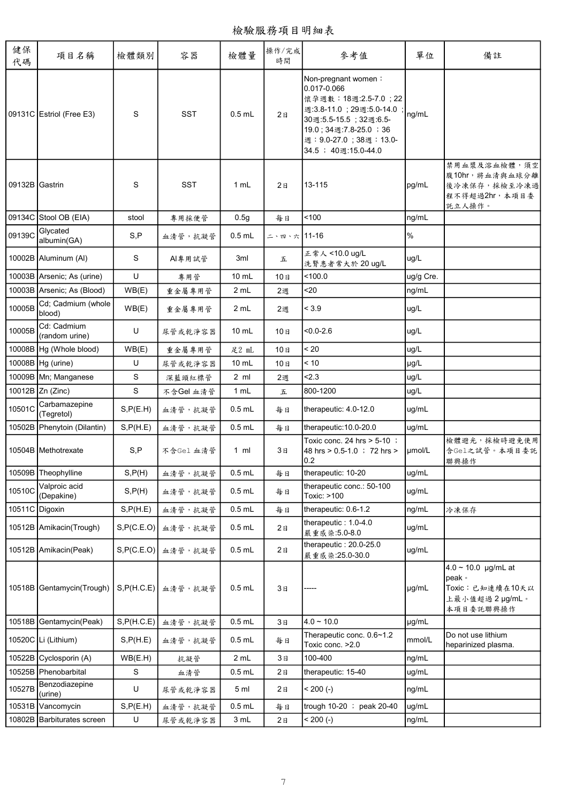檢驗服務項目明細表

| 健保<br>代碼       | 項目名稱                          | 檢體類別        | 容器         | 檢體量             | 操作/完成<br>時間                | 參考值                                                                                                                                                                                            | 單位        | 備註                                                                                    |
|----------------|-------------------------------|-------------|------------|-----------------|----------------------------|------------------------------------------------------------------------------------------------------------------------------------------------------------------------------------------------|-----------|---------------------------------------------------------------------------------------|
|                | 09131C Estriol (Free E3)      | S           | <b>SST</b> | $0.5$ mL        | 2B                         | Non-pregnant women:<br>0.017-0.066<br>懷孕週數: 18週:2.5-7.0; 22<br>週:3.8-11.0; 29週:5.0-14.0<br>30週:5.5-15.5; 32週:6.5-<br>19.0; 34週:7.8-25.0; 36<br>週: 9.0-27.0; 38週: 13.0-<br>34.5 ; 40週:15.0-44.0 | ng/mL     |                                                                                       |
| 09132B Gastrin |                               | S           | <b>SST</b> | 1 mL            | 2B                         | 13-115                                                                                                                                                                                         | pg/mL     | 禁用血漿及溶血檢體,須空<br>腹10hr,將血清與血球分離<br>後冷凍保存,採檢至冷凍過<br>程不得超過2hr, 本項目委<br>託立人操作。            |
|                | 09134C Stool OB (EIA)         | stool       | 專用採便管      | 0.5g            | 每日                         | 100                                                                                                                                                                                            | ng/mL     |                                                                                       |
| 09139C         | Glycated<br>albumin(GA)       | S, P        | 血清管,抗凝管    | $0.5$ mL        | 二、四、六 11-16                |                                                                                                                                                                                                | %         |                                                                                       |
|                | 10002B Aluminum (AI)          | S           | Al專用試管     | 3ml             | 五                          | 正常人<10.0 ug/L<br>洗腎患者常大於 20 ug/L                                                                                                                                                               | ug/L      |                                                                                       |
|                | 10003B Arsenic; As (urine)    | U           | 專用管        | 10 mL           | 10日                        | < 100.0                                                                                                                                                                                        | ug/g Cre. |                                                                                       |
|                | 10003B Arsenic; As (Blood)    | WB(E)       | 重金屬專用管     | 2 mL            | 2週                         | $20$                                                                                                                                                                                           | ng/mL     |                                                                                       |
| 10005B         | Cd; Cadmium (whole<br>blood)  | WB(E)       | 重金屬專用管     | 2 mL            | 2週                         | < 3.9                                                                                                                                                                                          | ug/L      |                                                                                       |
| 10005B         | Cd: Cadmium<br>(random urine) | U           | 尿管或乾淨容器    | $10 \text{ mL}$ | 10日                        | $< 0.0 - 2.6$                                                                                                                                                                                  | ug/L      |                                                                                       |
|                | 10008B Hg (Whole blood)       | WB(E)       | 重金屬專用管     | 足2 mL           | 10日                        | < 20                                                                                                                                                                                           | ug/L      |                                                                                       |
|                | 10008B Hg (urine)             | U           | 尿管或乾淨容器    | 10 mL           | 10日                        | < 10                                                                                                                                                                                           | µg/L      |                                                                                       |
|                | 10009B Mn; Manganese          | S           | 深藍頭紅標管     | $2 \text{ ml}$  | 2週                         | 2.3                                                                                                                                                                                            | ug/L      |                                                                                       |
|                | 10012B Zn (Zinc)              | S           | 不含Gel 血清管  | 1 mL            | $\ensuremath{\mathcal{L}}$ | 800-1200                                                                                                                                                                                       | ug/L      |                                                                                       |
| 10501C         | Carbamazepine<br>(Tegretol)   | S, P(E.H)   | 血清管,抗凝管    | $0.5$ mL        | 每日                         | therapeutic: 4.0-12.0                                                                                                                                                                          | ug/mL     |                                                                                       |
|                | 10502B Phenytoin (Dilantin)   | S, P(H.E)   | 血清管,抗凝管    | $0.5$ mL        | 每日                         | therapeutic: 10.0-20.0                                                                                                                                                                         | ug/mL     |                                                                                       |
|                | 10504B Methotrexate           | S,P         | 不含Gel 血清管  | 1 ml            | 3日                         | Toxic conc. 24 hrs $> 5-10$ ;<br>48 hrs > 0.5-1.0 ; 72 hrs ><br>0.2                                                                                                                            | umol/L    | 檢體避光,採檢時避免使用<br>含Gel之試管。本項目委託<br>聯興操作                                                 |
|                | 10509B Theophylline           | S, P(H)     | 血清管,抗凝管    | $0.5$ mL        | 每日                         | therapeutic: 10-20                                                                                                                                                                             | ug/mL     |                                                                                       |
| 10510C         | Valproic acid<br>(Depakine)   | S, P(H)     | 血清管,抗凝管    | $0.5$ mL        | 每日                         | therapeutic conc.: 50-100<br>Toxic: >100                                                                                                                                                       | ug/mL     |                                                                                       |
| 10511C Digoxin |                               | S, P(H.E)   | 血清管,抗凝管    | $0.5$ mL        | 每日                         | therapeutic: 0.6-1.2                                                                                                                                                                           | ng/mL     | 冷凍保存                                                                                  |
|                | 10512B Amikacin(Trough)       | S, P(C.E.O) | 血清管,抗凝管    | $0.5$ mL        | 2E                         | therapeutic: 1.0-4.0<br>嚴重感染:5.0-8.0                                                                                                                                                           | ug/mL     |                                                                                       |
|                | 10512B Amikacin(Peak)         | S, P(C.E.O) | 血清管,抗凝管    | $0.5$ mL        | 2E                         | therapeutic: 20.0-25.0<br>嚴重感染:25.0-30.0                                                                                                                                                       | ug/mL     |                                                                                       |
|                | 10518B Gentamycin(Trough)     | S, P(H.C.E) | 血清管,抗凝管    | $0.5$ mL        | 3E                         |                                                                                                                                                                                                | µg/mL     | $4.0 \sim 10.0$ µg/mL at<br>peak o<br>Toxic:已知連續在10天以<br>上最小值超過 2 µg/mL。<br>本項目委託聯興操作 |
|                | 10518B Gentamycin(Peak)       | S, P(H.C.E) | 血清管,抗凝管    | $0.5$ mL        | 3E                         | $4.0 - 10.0$                                                                                                                                                                                   | µg/mL     |                                                                                       |
|                | 10520C Li (Lithium)           | S, P(H.E)   | 血清管,抗凝管    | $0.5$ mL        | 每日                         | Therapeutic conc. 0.6~1.2<br>Toxic conc. > 2.0                                                                                                                                                 | mmol/L    | Do not use lithium<br>heparinized plasma.                                             |
|                | 10522B Cyclosporin (A)        | WB(E.H)     | 抗凝管        | 2 mL            | 3日                         | 100-400                                                                                                                                                                                        | ng/mL     |                                                                                       |
|                | 10525B Phenobarbital          | S           | 血清管        | $0.5$ mL        | 2E                         | therapeutic: 15-40                                                                                                                                                                             | ug/mL     |                                                                                       |
| 10527B         | Benzodiazepine<br>(urine)     | U           | 尿管或乾淨容器    | 5 <sub>ml</sub> | 2E                         | $< 200 (-)$                                                                                                                                                                                    | ng/mL     |                                                                                       |
|                | 10531B Vancomycin             | S, P(E.H)   | 血清管,抗凝管    | $0.5$ mL        | 每日                         | trough 10-20 ; peak 20-40                                                                                                                                                                      | ug/mL     |                                                                                       |
|                | 10802B Barbiturates screen    | U           | 尿管或乾淨容器    | 3 mL            | 2E                         | $< 200 (-)$                                                                                                                                                                                    | ng/mL     |                                                                                       |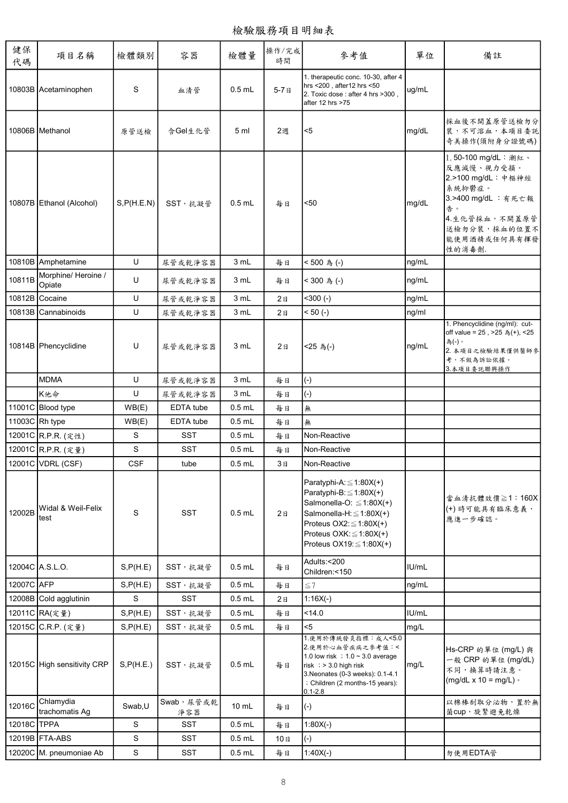檢驗服務項目明細表

| 健保<br>代碼       | 項目名稱                         | 檢體類別        | 容器                | 檢體量      | 操作/完成<br>時間    | 參考值                                                                                                                                                                                                                             | 單位    | 備註                                                                                                                                                        |
|----------------|------------------------------|-------------|-------------------|----------|----------------|---------------------------------------------------------------------------------------------------------------------------------------------------------------------------------------------------------------------------------|-------|-----------------------------------------------------------------------------------------------------------------------------------------------------------|
|                | 10803B Acetaminophen         | S           | 血清管               | $0.5$ mL | $5-7B$         | 1. therapeutic conc. 10-30, after 4<br>hrs <200, after12 hrs <50<br>2. Toxic dose : after 4 hrs >300,<br>after 12 hrs >75                                                                                                       | ug/mL |                                                                                                                                                           |
|                | 10806B Methanol              | 原管送檢        | 含Gel生化管           | 5 ml     | 2週             | $5$                                                                                                                                                                                                                             | mg/dL | 採血後不開蓋原管送檢勿分<br>裝,不可溶血,本項目委託<br>奇美操作(須附身分證號碼)                                                                                                             |
|                | 10807B Ethanol (Alcohol)     | S, P(H.E.N) | SST, 抗凝管          | $0.5$ mL | 每日             | < 50                                                                                                                                                                                                                            | mg/dL | 1.50-100 mg/dL:潮紅、<br>反應減慢、視力受損。<br>2.>100 mg/dL: 中樞神經<br>系統抑鬱症。<br>3.>400 mg/dL : 有死亡報<br>告。<br>4. 生化管採血,不開蓋原管<br>送檢勿分裝,採血的位置不<br>能使用酒精或任何具有揮發<br>性的消毒劑. |
|                | 10810B Amphetamine           | U           | 尿管或乾淨容器           | 3 mL     | 每日             | <500為(-)                                                                                                                                                                                                                        | ng/mL |                                                                                                                                                           |
| 10811B         | Morphine/Heroine /<br>Opiate | U           | 尿管或乾淨容器           | 3 mL     | 每日             | < 300 為 (-)                                                                                                                                                                                                                     | ng/mL |                                                                                                                                                           |
| 10812B         | Cocaine                      | U           | 尿管或乾淨容器           | 3 mL     | 2B             | $<$ 300 $(-)$                                                                                                                                                                                                                   | ng/mL |                                                                                                                                                           |
|                | 10813B Cannabinoids          | U           | 尿管或乾淨容器           | 3 mL     | 2 <sub>B</sub> | $< 50 (-)$                                                                                                                                                                                                                      | ng/ml |                                                                                                                                                           |
|                | 10814B Phencyclidine         | U           | 尿管或乾净容器           | 3 mL     | 2B             | <25 為(-)                                                                                                                                                                                                                        | ng/mL | 1. Phencyclidine (ng/ml): cut-<br>off value = 25, >25 為(+), <25<br>為(-)。<br>2. 本項目之檢驗結果僅供醫師參<br>考,不做為訴訟依據。<br>3. 本項目委託聯興操作                                |
|                | <b>MDMA</b>                  | U           | 尿管或乾淨容器           | 3 mL     | 每日             | $(-)$                                                                                                                                                                                                                           |       |                                                                                                                                                           |
|                | K他命                          | U           | 尿管或乾淨容器           | 3 mL     | 每日             | $(-)$                                                                                                                                                                                                                           |       |                                                                                                                                                           |
|                | 11001C Blood type            | WB(E)       | EDTA tube         | $0.5$ mL | 每日             | 無                                                                                                                                                                                                                               |       |                                                                                                                                                           |
| 11003C Rh type |                              | WB(E)       | EDTA tube         | $0.5$ mL | 每日             | 無                                                                                                                                                                                                                               |       |                                                                                                                                                           |
|                | 12001C R.P.R. (定性)           | S           | <b>SST</b>        | $0.5$ mL | 每日             | Non-Reactive                                                                                                                                                                                                                    |       |                                                                                                                                                           |
|                | 12001C R.P.R. (定量)           | S           | <b>SST</b>        | $0.5$ mL | 每日             | Non-Reactive                                                                                                                                                                                                                    |       |                                                                                                                                                           |
|                | 12001C VDRL (CSF)            | <b>CSF</b>  | tube              | $0.5$ mL | 3日             | Non-Reactive                                                                                                                                                                                                                    |       |                                                                                                                                                           |
| 12002B         | Widal & Weil-Felix<br>test   | S           | <b>SST</b>        | $0.5$ mL | 2E             | Paratyphi-A: $\leq$ 1:80X(+)<br>Paratyphi-B: $\leq$ 1:80X(+)<br>Salmonella-O: $\leq$ 1:80X(+)<br>Salmonella-H: $\leq$ 1:80X(+)<br>Proteus OX2: $\leq$ 1:80X(+)<br>Proteus OXK: $\leq$ 1:80X(+)<br>Proteus OX19: $\leq$ 1:80X(+) |       | 當血清抗體效價≧1:160X<br>(+)時可能具有臨床意義,<br>應進一步確認。                                                                                                                |
|                | 12004C A.S.L.O.              | S, P(H.E)   | SST, 抗凝管          | $0.5$ mL | 每日             | Adults:<200<br>Children:<150                                                                                                                                                                                                    | IU/mL |                                                                                                                                                           |
| 12007C AFP     |                              | S, P(H.E)   | SST, 抗凝管          | $0.5$ mL | 每日             | $\leq 7$                                                                                                                                                                                                                        | ng/mL |                                                                                                                                                           |
|                | 12008B Cold agglutinin       | S           | <b>SST</b>        | $0.5$ mL | 2B             | $1:16X(-)$                                                                                                                                                                                                                      |       |                                                                                                                                                           |
|                | 12011C RA(定量)                | S, P(H.E)   | SST,抗凝管           | $0.5$ mL | 每日             | < 14.0                                                                                                                                                                                                                          | IU/mL |                                                                                                                                                           |
|                | 12015C C.R.P. (定量)           | S, P(H.E)   | SST, 抗凝管          | $0.5$ mL | 每日             | $5$                                                                                                                                                                                                                             | mg/L  |                                                                                                                                                           |
|                | 12015C High sensitivity CRP  | S, P(H.E.)  | SST, 抗凝管          | $0.5$ mL | 每日             | 1.使用於傳統發炎指標:成人<5.0<br>2.使用於心血管疾病之參考值:<<br>1.0 low risk $: 1.0 \sim 3.0$ average<br>risk $\frac{1}{2}$ > 3.0 high risk<br>3. Neonates (0-3 weeks): 0.1-4.1<br>: Children (2 months-15 years):<br>$0.1 - 2.8$                     | mg/L  | Hs-CRP 的單位 (mg/L) 與<br>一般 CRP 的單位 (mg/dL)<br>不同,換算時請注意。<br>$(mg/dL \times 10 = mg/L)$ .                                                                   |
| 12016C         | Chlamydia<br>trachomatis Ag  | Swab,U      | Swab, 尿管或乾<br>淨容器 | 10 mL    | 每日             | $(-)$                                                                                                                                                                                                                           |       | 以棉棒刮取分泌物,置於無<br>菌cup, 旋緊避免乾燥                                                                                                                              |
| 12018C TPPA    |                              | S           | <b>SST</b>        | $0.5$ mL | 每日             | $1:80X(-)$                                                                                                                                                                                                                      |       |                                                                                                                                                           |
|                | 12019B FTA-ABS               | S           | <b>SST</b>        | $0.5$ mL | 10日            | $(-)$                                                                                                                                                                                                                           |       |                                                                                                                                                           |
|                | 12020C M. pneumoniae Ab      | S           | <b>SST</b>        | $0.5$ mL | 每日             | $1:40X(-)$                                                                                                                                                                                                                      |       | 勿使用EDTA管                                                                                                                                                  |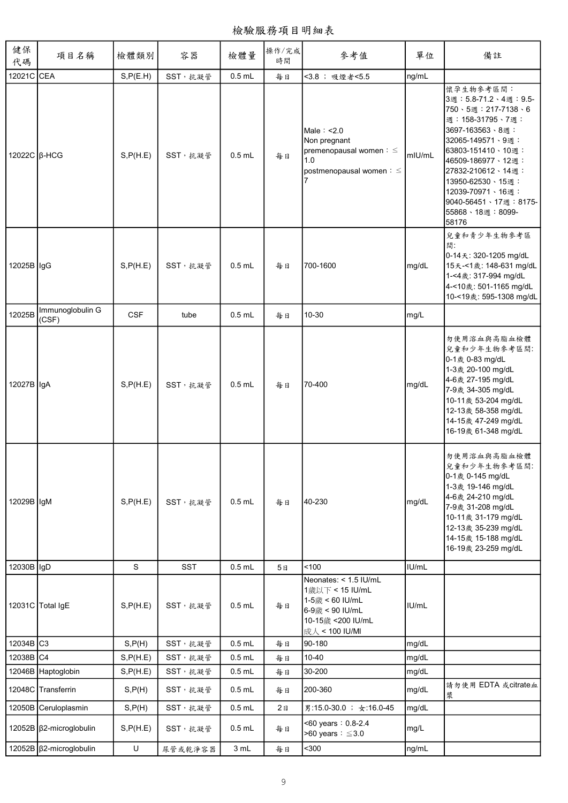檢驗服務項目明細表

| 健保<br>代碼            | 項目名稱                           | 檢體類別       | 容器         | 檢體量      | 操作/完成<br>時間 | 參考值                                                                                                                   | 單位     | 備註                                                                                                                                                                                                                                                                             |
|---------------------|--------------------------------|------------|------------|----------|-------------|-----------------------------------------------------------------------------------------------------------------------|--------|--------------------------------------------------------------------------------------------------------------------------------------------------------------------------------------------------------------------------------------------------------------------------------|
| 12021C CEA          |                                | S, P(E.H)  | SST, 抗凝管   | $0.5$ mL | 每日          | <3.8; 吸煙者<5.5                                                                                                         | ng/mL  |                                                                                                                                                                                                                                                                                |
| 12022C $\beta$ -HCG |                                | S, P(H.E)  | SST, 抗凝管   | $0.5$ mL | 每日          | Male: < 2.0<br>Non pregnant<br>premenopausal women: $\leq$<br>1.0<br>postmenopausal women : ≤                         | mIU/mL | 懷孕生物參考區間:<br>3週: 5.8-71.2、4週: 9.5-<br>750、5週: 217-7138、6<br>週: 158-31795、7週:<br>3697-163563、8週:<br>32065-149571、9週:<br>63803-151410、10週:<br>46509-186977、12週:<br>27832-210612、14週:<br>13950-62530、15週:<br>12039-70971、16週:<br>9040-56451、17週:8175-<br>55868、18週:8099-<br>58176 |
| 12025B lgG          |                                | S, P(H.E)  | SST, 抗凝管   | $0.5$ mL | 每日          | 700-1600                                                                                                              | mg/dL  | 兒童和青少年生物參考區<br>間<br>0-14天: 320-1205 mg/dL<br>15天-<1歲: 148-631 mg/dL<br>1-<4歲: 317-994 mg/dL<br>4-<10歲: 501-1165 mg/dL<br>10-<19歲: 595-1308 mg/dL                                                                                                                               |
| 12025B              | Immunoglobulin G<br>(CSF)      | <b>CSF</b> | tube       | $0.5$ mL | 每日          | 10-30                                                                                                                 | mg/L   |                                                                                                                                                                                                                                                                                |
| 12027B IgA          |                                | S, P(H.E)  | SST, 抗凝管   | $0.5$ mL | 每日          | 70-400                                                                                                                | mg/dL  | 勿使用溶血與高脂血檢體<br>兒童和少年生物參考區間:<br>0-1歲 0-83 mg/dL<br>1-3歲 20-100 mg/dL<br>4-6歲 27-195 mg/dL<br>7-9歲 34-305 mg/dL<br>10-11歲 53-204 mg/dL<br>12-13歲 58-358 mg/dL<br>14-15歲 47-249 mg/dL<br>16-19歲 61-348 mg/dL                                                                      |
| 12029B IgM          |                                | S, P(H.E)  | SST, 抗凝管   | $0.5$ mL | 每日          | 40-230                                                                                                                | mg/dL  | 勿使用溶血與高脂血檢體<br>兒童和少年生物參考區間:<br>0-1歲 0-145 mg/dL<br>1-3歲 19-146 mg/dL<br>4-6歲 24-210 mg/dL<br>7-9歲 31-208 mg/dL<br>10-11歲 31-179 mg/dL<br>12-13歲 35-239 mg/dL<br>14-15歲 15-188 mg/dL<br>16-19歲 23-259 mg/dL                                                                     |
| 12030B IgD          |                                | S          | <b>SST</b> | $0.5$ mL | 5日          | 100                                                                                                                   | IU/mL  |                                                                                                                                                                                                                                                                                |
|                     | 12031C Total IgE               | S, P(H.E)  | SST, 抗凝管   | $0.5$ mL | 每日          | Neonates: < 1.5 IU/mL<br>1歲以下 < 15 IU/mL<br>1-5歲 < 60 IU/mL<br>6-9歲 < 90 IU/mL<br>10-15歲 <200 IU/mL<br>成人 < 100 IU/MI | IU/mL  |                                                                                                                                                                                                                                                                                |
| 12034B C3           |                                | S, P(H)    | SST,抗凝管    | $0.5$ mL | 每日          | 90-180                                                                                                                | mg/dL  |                                                                                                                                                                                                                                                                                |
| 12038B C4           |                                | S, P(H.E)  | SST,抗凝管    | $0.5$ mL | 每日          | $10 - 40$                                                                                                             | mg/dL  |                                                                                                                                                                                                                                                                                |
|                     | 12046B Haptoglobin             | S, P(H.E)  | SST, 抗凝管   | $0.5$ mL | 每日          | 30-200                                                                                                                | mg/dL  |                                                                                                                                                                                                                                                                                |
|                     | 12048C Transferrin             | S, P(H)    | SST, 抗凝管   | $0.5$ mL | 每日          | 200-360                                                                                                               | mg/dL  | 請勿使用 EDTA 或citrate血<br>漿                                                                                                                                                                                                                                                       |
|                     | 12050B Ceruloplasmin           | S, P(H)    | SST, 抗凝管   | $0.5$ mL | 2E          | 男:15.0-30.0 ; 女:16.0-45                                                                                               | mg/dL  |                                                                                                                                                                                                                                                                                |
|                     | 12052B $\beta$ 2-microglobulin | S, P(H.E)  | SST, 抗凝管   | $0.5$ mL | 每日          | <60 years: 0.8-2.4<br>>60 years: $\leq$ 3.0                                                                           | mg/L   |                                                                                                                                                                                                                                                                                |
|                     | 12052B   β2-microglobulin      | U          | 尿管或乾淨容器    | 3 mL     | 每日          | $300$                                                                                                                 | ng/mL  |                                                                                                                                                                                                                                                                                |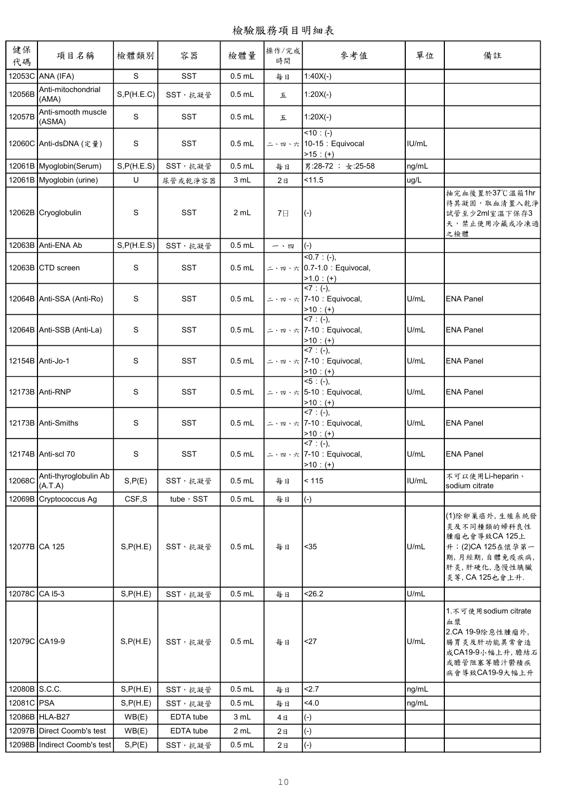| 健保<br>代碼       | 項目名稱                             | 檢體類別        | 容器         | 檢體量      | 操作/完成<br>時間    | 參考值                                                                                      | 單位    | 備註                                                                                                                     |
|----------------|----------------------------------|-------------|------------|----------|----------------|------------------------------------------------------------------------------------------|-------|------------------------------------------------------------------------------------------------------------------------|
|                | 12053C ANA (IFA)                 | S           | <b>SST</b> | $0.5$ mL | 每日             | $1:40X(-)$                                                                               |       |                                                                                                                        |
| 12056B         | Anti-mitochondrial<br>(AMA)      | S, P(H.E.C) | SST,抗凝管    | $0.5$ mL | 五              | $1:20X(-)$                                                                               |       |                                                                                                                        |
| 12057B         | Anti-smooth muscle<br>(ASMA)     | S           | <b>SST</b> | $0.5$ mL | 五              | $1:20X(-)$                                                                               |       |                                                                                                                        |
|                | 12060C Anti-dsDNA (定量)           | S           | <b>SST</b> | $0.5$ mL |                | $10: (-)$<br>ニ丶 ː ː ≻ , † 10-15 : Equivocal<br>$>15: (+)$                                | IU/mL |                                                                                                                        |
|                | 12061B Myoglobin(Serum)          | S, P(H.E.S) | SST, 抗凝管   | $0.5$ mL | 每日             | 男:28-72 ; 女:25-58                                                                        | ng/mL |                                                                                                                        |
|                | 12061B Myoglobin (urine)         | U           | 尿管或乾淨容器    | 3 mL     | 2 <sub>B</sub> | 11.5                                                                                     | ug/L  |                                                                                                                        |
|                | 12062B Cryoglobulin              | S           | <b>SST</b> | 2 mL     | 7日             | $(-)$                                                                                    |       | 抽完血後置於37℃溫箱1hr<br>待其凝固,取血清置入乾淨<br>試管至少2ml室溫下保存3<br>天,禁止使用冷藏或冷凍過<br>之檢體                                                 |
|                | 12063B Anti-ENA Ab               | S, P(H.E.S) | SST,抗凝管    | $0.5$ mL | 一、四            | $(-)$                                                                                    |       |                                                                                                                        |
|                | 12063B CTD screen                | S           | SST        | $0.5$ mL |                | $50.7: (-),$<br>二、四、六 0.7-1.0 : Equivocal,                                               |       |                                                                                                                        |
|                | 12064B Anti-SSA (Anti-Ro)        | S           | <b>SST</b> | $0.5$ mL |                | $\frac{>1.0 (+) }{<7 (+) }$<br>ニ、 , , , , 7-10 : Equivocal,<br>$>10$ : (+)<br><7 : (-),  | U/mL  | <b>ENA Panel</b>                                                                                                       |
|                | 12064B Anti-SSB (Anti-La)        | S           | <b>SST</b> | $0.5$ mL |                | ニ、四、六 7-10 : Equivocal,<br>$>10$ : (+)                                                   | U/mL  | <b>ENA Panel</b>                                                                                                       |
|                | 12154B Anti-Jo-1                 | S           | <b>SST</b> | $0.5$ mL |                | $57: (-),$<br>ニ、四、六 7-10: Equivocal,<br>$>10$ : (+)                                      | U/mL  | <b>ENA Panel</b>                                                                                                       |
|                | 12173B Anti-RNP                  | S           | <b>SST</b> | $0.5$ mL |                | $5 : (-),$<br>二、四、六 5-10: Equivocal,<br>$>10:(+)$<br><7 : (-),                           | U/mL  | <b>ENA Panel</b>                                                                                                       |
|                | 12173B Anti-Smiths               | S           | <b>SST</b> | $0.5$ mL |                | $\leq$ · $\mathbb{F}$ $\sim$ $\frac{1}{2}$ 7-10 : Equivocal,<br>$>10$ : (+)<br><7 : (-), | U/mL  | <b>ENA Panel</b>                                                                                                       |
|                | 12174B Anti-scl 70               | S           | <b>SST</b> | $0.5$ mL |                | ニ、四、六 7-10 : Equivocal,<br>$>10$ : (+)                                                   | U/mL  | <b>ENA Panel</b>                                                                                                       |
| 12068C         | Anti-thyroglobulin Ab<br>(A.T.A) | S, P(E)     | SST, 抗凝管   | $0.5$ mL | 每日             | < 115                                                                                    | IU/mL | 不可以使用Li-heparin、<br>sodium citrate                                                                                     |
|                | 12069B Cryptococcus Ag           | CSF,S       | tube, SST  | $0.5$ mL | 每日             | $(-)$                                                                                    |       |                                                                                                                        |
| 12077B CA 125  |                                  | S, P(H.E)   | SST, 抗凝管   | $0.5$ mL | 每日             | $35$                                                                                     | U/mL  | (1)除卵巢癌外,生殖系統發<br>炎及不同種類的婦科良性<br>腫瘤也會導致CA 125上<br>升;(2)CA 125在懷孕第一<br>期,月經期,自體免疫疾病,<br>肝炎,肝硬化,急慢性胰臟<br>炎等, CA 125也會上升. |
| 12078C CA I5-3 |                                  | S, P(H.E)   | SST, 抗凝管   | $0.5$ mL | 每日             | 26.2                                                                                     | U/mL  |                                                                                                                        |
| 12079C CA19-9  |                                  | S, P(H.E)   | SST, 抗凝管   | $0.5$ mL | 每日             | <27                                                                                      | U/mL  | 1. 不可使用sodium citrate<br>血漿<br>2.CA 19-9除惡性腫瘤外,<br>腸胃炎及肝功能異常會造<br>成CA19-9小幅上升, 膽結石<br>或膽管阻塞等膽汁鬱積疾<br>病會導致CA19-9大幅上升    |
| 12080B S.C.C.  |                                  | S, P(H.E)   | SST, 抗凝管   | $0.5$ mL | 每日             | 2.7                                                                                      | ng/mL |                                                                                                                        |
| 12081C PSA     |                                  | S, P(H.E)   | SST, 抗凝管   | $0.5$ mL | 每日             | 4.0                                                                                      | ng/mL |                                                                                                                        |
|                | 12086B HLA-B27                   | WB(E)       | EDTA tube  | 3 mL     | 4日             | $(-)$                                                                                    |       |                                                                                                                        |
|                | 12097B Direct Coomb's test       | WB(E)       | EDTA tube  | 2 mL     | 2E             | $(-)$                                                                                    |       |                                                                                                                        |
|                | 12098B Indirect Coomb's test     | S, P(E)     | SST, 抗凝管   | $0.5$ mL | 2E             | $(\hbox{-})$                                                                             |       |                                                                                                                        |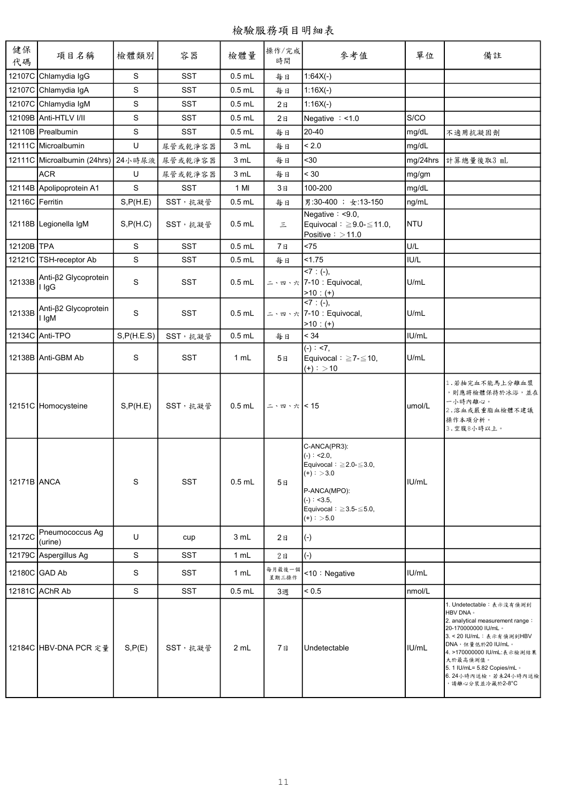| 健保<br>代碼        | 項目名稱                               | 檢體類別        | 容器         | 檢體量      | 操作/完成<br>時間     | 參考值                                                                                                                                                                       | 單位         | 備註                                                                                                                                                                                                                                                                     |
|-----------------|------------------------------------|-------------|------------|----------|-----------------|---------------------------------------------------------------------------------------------------------------------------------------------------------------------------|------------|------------------------------------------------------------------------------------------------------------------------------------------------------------------------------------------------------------------------------------------------------------------------|
|                 | 12107C Chlamydia IgG               | S           | <b>SST</b> | $0.5$ mL | 每日              | $1:64X(-)$                                                                                                                                                                |            |                                                                                                                                                                                                                                                                        |
|                 | 12107C Chlamydia IgA               | S           | <b>SST</b> | $0.5$ mL | 每日              | $1:16X(-)$                                                                                                                                                                |            |                                                                                                                                                                                                                                                                        |
|                 | 12107C Chlamydia IgM               | S           | <b>SST</b> | $0.5$ mL | 2E              | $1:16X(-)$                                                                                                                                                                |            |                                                                                                                                                                                                                                                                        |
|                 | 12109B Anti-HTLV I/II              | S           | <b>SST</b> | $0.5$ mL | 2B              | Negative $: < 1.0$                                                                                                                                                        | S/CO       |                                                                                                                                                                                                                                                                        |
|                 | 12110B Prealbumin                  | S           | SST        | $0.5$ mL | 每日              | 20-40                                                                                                                                                                     | mg/dL      | 不適用抗凝固劑                                                                                                                                                                                                                                                                |
|                 | 12111C Microalbumin                | U           | 尿管或乾淨容器    | 3 mL     | 每日              | < 2.0                                                                                                                                                                     | mg/dL      |                                                                                                                                                                                                                                                                        |
|                 | 12111C Microalbumin (24hrs) 24小時尿液 |             | 尿管或乾淨容器    | 3 mL     | 每日              | $30$                                                                                                                                                                      | mg/24hrs   | 計算總量後取3 mL                                                                                                                                                                                                                                                             |
|                 | <b>ACR</b>                         | U           | 尿管或乾淨容器    | 3 mL     | 每日              | < 30                                                                                                                                                                      | mg/gm      |                                                                                                                                                                                                                                                                        |
|                 | 12114B Apolipoprotein A1           | S           | <b>SST</b> | 1 MI     | 3日              | 100-200                                                                                                                                                                   | mg/dL      |                                                                                                                                                                                                                                                                        |
| 12116C Ferritin |                                    | S, P(H.E)   | SST,抗凝管    | $0.5$ mL | 每日              | 男:30-400 ; 女:13-150                                                                                                                                                       | ng/mL      |                                                                                                                                                                                                                                                                        |
|                 | 12118B Legionella IgM              | S, P(H.C)   | SST, 抗凝管   | $0.5$ mL | $\equiv$        | Negative $: < 9.0$ ,<br>Equivocal: $\geq$ 9.0- $\leq$ 11.0,<br>Positive $\frac{1}{2}$ > 11.0                                                                              | <b>NTU</b> |                                                                                                                                                                                                                                                                        |
| 12120B TPA      |                                    | S           | <b>SST</b> | $0.5$ mL | 7日              | < 75                                                                                                                                                                      | U/L        |                                                                                                                                                                                                                                                                        |
|                 | 12121C TSH-receptor Ab             | S           | <b>SST</b> | $0.5$ mL | 每日              | 1.75                                                                                                                                                                      | IU/L       |                                                                                                                                                                                                                                                                        |
| 12133B          | Anti-β2 Glycoprotein<br>l IgG      | S           | <b>SST</b> | $0.5$ mL |                 | $57: (-),$<br>ニ丶 ː ː / ː 7-10 : Equivocal,<br>$>10$ : (+)                                                                                                                 | U/mL       |                                                                                                                                                                                                                                                                        |
| 12133B          | Anti-β2 Glycoprotein<br>I IgM      | S           | <b>SST</b> | $0.5$ mL |                 | $57: (-),$<br>ニ、 ː ː · 六 7-10 : Equivocal,<br>$-10: (+)$                                                                                                                  | U/mL       |                                                                                                                                                                                                                                                                        |
|                 | 12134C Anti-TPO                    | S, P(H.E.S) | SST,抗凝管    | $0.5$ mL | 每日              | < 34                                                                                                                                                                      | IU/mL      |                                                                                                                                                                                                                                                                        |
|                 | 12138B Anti-GBM Ab                 | S           | <b>SST</b> | 1 mL     | 5日              | $\overline{(-)}$ : <7,<br>Equivocal: $\geq$ 7- $\leq$ 10,<br>$(+):$ > 10                                                                                                  | U/mL       |                                                                                                                                                                                                                                                                        |
|                 | 12151C Homocysteine                | S, P(H.E)   | SST, 抗凝管   | $0.5$ mL | 二、四、六 < 15      |                                                                                                                                                                           | umol/L     | 1. 若抽完血不能馬上分離血漿<br>,則應將檢體保持於冰浴,並在<br>一小時內離心。<br>2.溶血或嚴重脂血檢體不建議<br>操作本項分析。<br>3.空腹8小時以上。                                                                                                                                                                                |
| 12171B ANCA     |                                    | S           | <b>SST</b> | $0.5$ mL | 5日              | C-ANCA(PR3):<br>$(-)$ : <2.0,<br>Equivocal: $\geq$ 2.0- $\leq$ 3.0,<br>$(+):$ > 3.0<br>P-ANCA(MPO):<br>$(-): <3.5,$<br>Equivocal: $\geq$ 3.5- $\leq$ 5.0,<br>$(+):$ > 5.0 | IU/mL      |                                                                                                                                                                                                                                                                        |
| 12172C          | Pneumococcus Ag<br>(urine)         | U           | cup        | 3 mL     | 2B              | $(-)$                                                                                                                                                                     |            |                                                                                                                                                                                                                                                                        |
|                 | 12179C Aspergillus Ag              | S           | <b>SST</b> | 1 mL     | 2E              | $(-)$                                                                                                                                                                     |            |                                                                                                                                                                                                                                                                        |
|                 | 12180C GAD Ab                      | S           | SST        | 1 mL     | 每月最後一個<br>星期三操作 | <10: Negative                                                                                                                                                             | IU/mL      |                                                                                                                                                                                                                                                                        |
|                 | 12181C AChR Ab                     | S           | <b>SST</b> | $0.5$ mL | 3週              | < 0.5                                                                                                                                                                     | nmol/L     |                                                                                                                                                                                                                                                                        |
|                 | 12184C HBV-DNA PCR 定量              | S, P(E)     | SST, 抗凝管   | 2 mL     | 7日              | Undetectable                                                                                                                                                              | IU/mL      | 1. Undetectable: 表示沒有偵測到<br>HBV DNA ·<br>2. analytical measurement range:<br>20-170000000 IU/mL ·<br>3. < 20 IU/mL: 表示有偵測到HBV<br>DNA,但量低於20 IU/mL。<br>4. >170000000 IU/mL:表示檢測結果<br>大於最高偵測值。<br>5. 1 IU/mL= 5.82 Copies/mL ·<br>6.24小時內送檢,若未24小時內送檢<br>,請離心分裝並冷藏於2-8°C |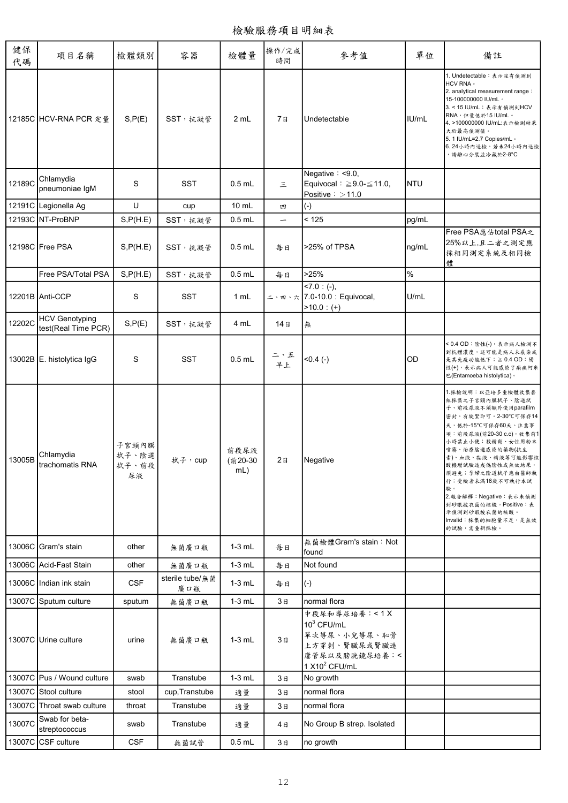檢驗服務項目明細表

| 健保<br>代碼 | 項目名稱                                         | 檢體類別                          | 容器                     | 檢體量                    | 操作/完成<br>時間    | 參考值                                                                                                         | 單位         | 備註                                                                                                                                                                                                                                                                                                                                                                               |
|----------|----------------------------------------------|-------------------------------|------------------------|------------------------|----------------|-------------------------------------------------------------------------------------------------------------|------------|----------------------------------------------------------------------------------------------------------------------------------------------------------------------------------------------------------------------------------------------------------------------------------------------------------------------------------------------------------------------------------|
|          | 12185C HCV-RNA PCR 定量                        | S, P(E)                       | SST, 抗凝管               | 2 mL                   | 7日             | Undetectable                                                                                                | IU/mL      | 1. Undetectable: 表示沒有偵測到<br>HCV RNA ·<br>2. analytical measurement range:<br>15-100000000 IU/mL ·<br>3. < 15 IU/mL: 表示有偵測到HCV<br>RNA,但量低於15 IU/mL。<br>4. >100000000 IU/mL:表示檢測結果<br>大於最高偵測值。<br>5. 1 IU/mL=2.7 Copies/mL .<br>6.24小時內送檢,若未24小時內送檢<br>, 請離心分裝並冷藏於2-8°C                                                                                                            |
| 12189C   | Chlamydia<br>pneumoniae IgM                  | S                             | <b>SST</b>             | $0.5$ mL               | 三              | Negative: <9.0,<br>Equivocal: $\geq 9.0 - \leq 11.0$ ,<br>Positive $\frac{1}{2}$ > 11.0                     | <b>NTU</b> |                                                                                                                                                                                                                                                                                                                                                                                  |
|          | 12191C Legionella Ag                         | U                             | cup                    | $10 \text{ mL}$        | 四              | $(\textnormal{-})$                                                                                          |            |                                                                                                                                                                                                                                                                                                                                                                                  |
|          | 12193C NT-ProBNP                             | S, P(H.E)                     | SST, 抗凝管               | $0.5$ mL               |                | < 125                                                                                                       | pg/mL      |                                                                                                                                                                                                                                                                                                                                                                                  |
|          | 12198C Free PSA                              | S, P(H.E)                     | SST, 抗凝管               | $0.5$ mL               | 每日             | >25% of TPSA                                                                                                | ng/mL      | Free PSA應佔total PSA之<br>25%以上,且二者之測定應<br>採相同測定系統及相同檢<br>體                                                                                                                                                                                                                                                                                                                        |
|          | Free PSA/Total PSA                           | S, P(H.E)                     | SST, 抗凝管               | $0.5$ mL               | 每日             | >25%                                                                                                        | $\%$       |                                                                                                                                                                                                                                                                                                                                                                                  |
|          | 12201B Anti-CCP                              | S                             | <b>SST</b>             | 1 mL                   |                | $-7.0$ : (-),<br>ニᆞ. ¤, 六 7.0-10.0 : Equivocal,<br>$>10.0$ : (+)                                            | U/mL       |                                                                                                                                                                                                                                                                                                                                                                                  |
| 12202C   | <b>HCV Genotyping</b><br>test(Real Time PCR) | S, P(E)                       | SST, 抗凝管               | 4 mL                   | 14日            | 無                                                                                                           |            |                                                                                                                                                                                                                                                                                                                                                                                  |
|          | 13002B E. histolytica IgG                    | S                             | <b>SST</b>             | $0.5$ mL               | 二、五<br>早上      | $< 0.4 (-)$                                                                                                 | OD         | <0.4 OD:陰性(-), 表示病人檢測不<br>到抗體濃度,這可能是病人未感染或<br>是其免疫功能低下;≧ 0.4 OD∶陽<br>性(+), 表示病人可能感染了痢疾阿米<br>巴(Entamoeba histolytica)。                                                                                                                                                                                                                                                            |
| 13005B   | Chlamydia<br>trachomatis RNA                 | 子宮頸內膜<br>拭子、陰道<br>拭子、前段<br>尿液 | 拭子,cup                 | 前段尿液<br>(前20-30<br>mL) | 2 <sub>B</sub> | Negative                                                                                                    |            | 1.採檢說明:以亞培多重檢體收集套<br>組採集之子宮頸內膜拭子、陰道拭<br>子、前段尿液不須額外使用parafilm<br>密封,有旋緊即可。2-30℃可保存14<br>天,低於-15℃可保存60天。注意事<br>項: 前段尿液(前20-30 c.c), 收集前1<br>小時禁止小便;殺精劑、女性用粉末<br>噴霧、治療陰道感染的藥物(抗生<br>素)、血液、黏液、精液等可能影響核<br>酸擴增試驗造成偽陰性或無效結果,<br>須避免;孕婦之陰道拭子應由醫師執<br>行;受檢者未滿16歲不可執行本試<br>驗。<br>2.報告解釋: Negative: 表示未偵測<br>到砂眼披衣菌的核酸。Positive:表<br>示偵測到砂眼披衣菌的核酸。<br>Invalid: 採集的細胞量不足, 是無效<br>的試驗,需重新採檢。 |
|          | 13006C Gram's stain                          | other                         | 無菌廣口瓶                  | $1-3$ mL               | 每日             | 無菌檢體Gram's stain: Not<br>found                                                                              |            |                                                                                                                                                                                                                                                                                                                                                                                  |
|          | 13006C Acid-Fast Stain                       | other                         | 無菌廣口瓶                  | $1-3$ mL               | 每日             | Not found                                                                                                   |            |                                                                                                                                                                                                                                                                                                                                                                                  |
|          | 13006C IIndian ink stain                     | <b>CSF</b>                    | sterile tube/無菌<br>廣口瓶 | $1-3$ mL               | 每日             | $(-)$                                                                                                       |            |                                                                                                                                                                                                                                                                                                                                                                                  |
|          | 13007C Sputum culture                        | sputum                        | 無菌廣口瓶                  | $1-3$ mL               | 3日             | normal flora                                                                                                |            |                                                                                                                                                                                                                                                                                                                                                                                  |
|          | 13007C Urine culture                         | urine                         | 無菌廣口瓶                  | $1-3$ mL               | 3日             | 中段尿和導尿培養:<1X<br>$10^3$ CFU/mL<br>單次導尿、小兒導尿、恥骨<br>上方穿刺、腎臟尿或腎臟造<br>廔管尿以及膀胱鏡尿培養:<<br>1 X10 <sup>2</sup> CFU/mL |            |                                                                                                                                                                                                                                                                                                                                                                                  |
|          | 13007C Pus / Wound culture                   | swab                          | Transtube              | $1-3$ mL               | 3日             | No growth                                                                                                   |            |                                                                                                                                                                                                                                                                                                                                                                                  |
|          | 13007C Stool culture                         | stool                         | cup, Transtube         | 適量                     | 3日             | normal flora                                                                                                |            |                                                                                                                                                                                                                                                                                                                                                                                  |
|          | 13007C Throat swab culture                   | throat                        | Transtube              | 適量                     | 3日             | normal flora                                                                                                |            |                                                                                                                                                                                                                                                                                                                                                                                  |
| 13007C   | Swab for beta-<br>streptococcus              | swab                          | Transtube              | 適量                     | 4日             | No Group B strep. Isolated                                                                                  |            |                                                                                                                                                                                                                                                                                                                                                                                  |
|          | 13007C CSF culture                           | <b>CSF</b>                    | 無菌試管                   | $0.5$ mL               | 3日             | no growth                                                                                                   |            |                                                                                                                                                                                                                                                                                                                                                                                  |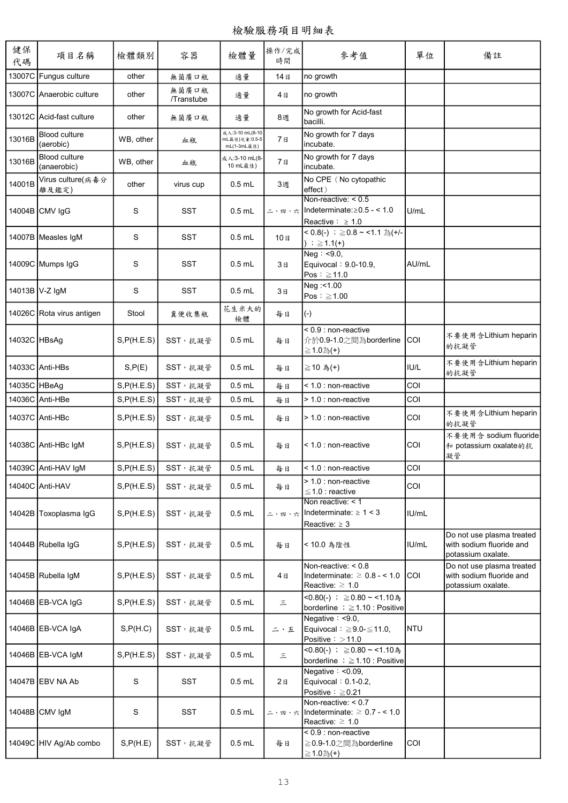| 健保<br>代碼     | 項目名稱                              | 檢體類別        | 容器                  | 檢體量                                             | 操作/完成<br>時間 | 參考值                                                                                                   | 單位           | 備註                                                                          |
|--------------|-----------------------------------|-------------|---------------------|-------------------------------------------------|-------------|-------------------------------------------------------------------------------------------------------|--------------|-----------------------------------------------------------------------------|
| 13007C       | Fungus culture                    | other       | 無菌廣口瓶               | 適量                                              | 14日         | no growth                                                                                             |              |                                                                             |
|              | 13007C Anaerobic culture          | other       | 無菌廣口瓶<br>/Transtube | 適量                                              | 4日          | no growth                                                                                             |              |                                                                             |
|              | 13012C Acid-fast culture          | other       | 無菌廣口瓶               | 適量                                              | 8週          | No growth for Acid-fast<br>bacilli.                                                                   |              |                                                                             |
| 13016B       | <b>Blood culture</b><br>(aerobic) | WB, other   | 血瓶                  | 成人:3-10 mL(8-10<br>mL最佳)兒童:0.5-5<br>mL(1-3mL最佳) | 7日          | No growth for 7 days<br>incubate.                                                                     |              |                                                                             |
| 13016B       | Blood culture<br>(anaerobic)      | WB, other   | 血瓶                  | 成人:3-10 mL(8-<br>10 mL最佳)                       | 7日          | No growth for 7 days<br>incubate.                                                                     |              |                                                                             |
| 14001B       | Virus culture(病毒分<br>離及鑑定)        | other       | virus cup           | $0.5$ mL                                        | 3週          | No CPE (No cytopathic<br>effect)                                                                      |              |                                                                             |
|              | 14004B CMV IgG                    | S           | <b>SST</b>          | $0.5$ mL                                        | 二、四、六       | Non-reactive: $< 0.5$<br>Indeterminate: $\geq$ 0.5 - < 1.0<br>Reactive: $\geq 1.0$                    | U/mL         |                                                                             |
|              | 14007B Measles IgM                | S           | <b>SST</b>          | $0.5$ mL                                        | 10日         | < 0.8(-) $\div$ ≥0.8 ~ <1.1 $\frac{1}{60}$ (+/-<br>) ; $≥ 1.1(+)$                                     |              |                                                                             |
|              | 14009C Mumps IgG                  | S           | <b>SST</b>          | $0.5$ mL                                        | 3日          | Neq: $< 9.0$ ,<br>Equivocal: 9.0-10.9,<br>Pos: $\geq$ 11.0                                            | AU/mL        |                                                                             |
|              | 14013B V-Z IgM                    | S           | <b>SST</b>          | $0.5$ mL                                        | 3日          | Neg: < 1.00<br>Pos: $\geq 1.00$                                                                       |              |                                                                             |
|              | 14026C Rota virus antigen         | Stool       | 糞便收集瓶               | 花生米大的<br>檢體                                     | 每日          | $(-)$                                                                                                 |              |                                                                             |
| 14032C HBsAg |                                   | S, P(H.E.S) | SST, 抗凝管            | $0.5$ mL                                        | 每日          | < 0.9 : non-reactive<br>介於0.9-1.0之間為borderline<br>≧1.0為(+)                                            | ICOL         | 不要使用含Lithium heparin<br>的抗凝管                                                |
|              | 14033C Anti-HBs                   | S, P(E)     | SST,抗凝管             | $0.5$ mL                                        | 每日          | ≧10 為(+)                                                                                              | <b>IU/L</b>  | 不要使用含Lithium heparin<br>的抗凝管                                                |
| 14035C HBeAg |                                   | S, P(H.E.S) | SST, 抗凝管            | $0.5$ mL                                        | 每日          | < 1.0 : non-reactive                                                                                  | COI          |                                                                             |
|              | 14036C Anti-HBe                   | S, P(H.E.S) | SST,抗凝管             | $0.5$ mL                                        | 每日          | > 1.0 : non-reactive                                                                                  | COI          |                                                                             |
|              | 14037C Anti-HBc                   | S, P(H.E.S) | SST, 抗凝管            | $0.5$ mL                                        | 每日          | > 1.0 : non-reactive                                                                                  | COI          | 不要使用含Lithium heparin<br>的抗凝管                                                |
|              | 14038C Anti-HBc IgM               | S, P(H.E.S) | SST, 抗凝管            | $0.5$ mL                                        | 每日          | < 1.0 : non-reactive                                                                                  | COI          | 不要使用含 sodium fluoride<br>和 potassium oxalate的抗<br>凝管                        |
|              | 14039C Anti-HAV IgM               | S, P(H.E.S) | SST,抗凝管             | $0.5$ mL                                        | 每日          | < 1.0 : non-reactive                                                                                  | COI          |                                                                             |
|              | 14040C Anti-HAV                   | S, P(H.E.S) | SST, 抗凝管            | $0.5$ mL                                        | 每日          | > 1.0 : non-reactive<br>$\leq$ 1.0 : reactive                                                         | COI          |                                                                             |
|              | 14042B Toxoplasma IgG             | S, P(H.E.S) | SST, 抗凝管            | $0.5$ mL                                        | 二、四、六       | Non reactive: $<$ 1<br>Indeterminate: $\geq 1 < 3$<br>Reactive: $\geq 3$                              | IU/mL        |                                                                             |
|              | 14044B Rubella IgG                | S, P(H.E.S) | SST, 抗凝管            | $0.5$ mL                                        | 每日          | <10.0 為陰性                                                                                             | IU/mL        | Do not use plasma treated<br>with sodium fluoride and<br>potassium oxalate. |
|              | 14045B Rubella IgM                | S, P(H.E.S) | SST, 抗凝管            | $0.5$ mL                                        | 4日          | Non-reactive: $< 0.8$<br>Indeterminate: $\geq 0.8 - 1.0$<br>Reactive: $\geq 1.0$                      | ICOI.        | Do not use plasma treated<br>with sodium fluoride and<br>potassium oxalate. |
|              | 14046B EB-VCA IgG                 | S, P(H.E.S) | SST,抗凝管             | $0.5$ mL                                        | $\equiv$    | <0.80(-) ; ≧0.80 ~ <1.10為<br>borderline $\; ; \; \geq 1.10$ : Positive                                |              |                                                                             |
|              | 14046B EB-VCA IgA                 | S, P(H.C)   | SST, 抗凝管            | $0.5$ mL                                        | 二、五         | Negative $: < 9.0$ ,<br>Equivocal: $\geq 9.0 - \leq 11.0$ ,<br>Positive $\frac{1}{2}$ > 11.0          | <b>I</b> NTU |                                                                             |
|              | 14046B EB-VCA IgM                 | S, P(H.E.S) | SST, 抗凝管            | $0.5$ mL                                        | $\equiv$    | <0.80(-) ; ≥0.80 ~ <1.10為<br>borderline $\frac{1}{2} \geq 1.10$ : Positive                            |              |                                                                             |
|              | 14047B EBV NA Ab                  | S           | SST                 | $0.5$ mL                                        | 2E          | Negative: $< 0.09$ ,<br>Equivocal: $0.1-0.2$ ,<br>Positive : $\geq 0.21$                              |              |                                                                             |
|              | 14048B CMV IgM                    | S           | <b>SST</b>          | $0.5$ mL                                        |             | Non-reactive: $< 0.7$<br>$\leq$ \ m \ \ \   Indeterminate: $\geq$ 0.7 - < 1.0<br>Reactive: $\geq 1.0$ |              |                                                                             |
|              | 14049C HIV Ag/Ab combo            | S, P(H.E)   | SST, 抗凝管            | $0.5$ mL                                        | 每日          | $< 0.9$ : non-reactive<br>≧0.9-1.0之間為borderline<br>≧1.0為(+)                                           | COI          |                                                                             |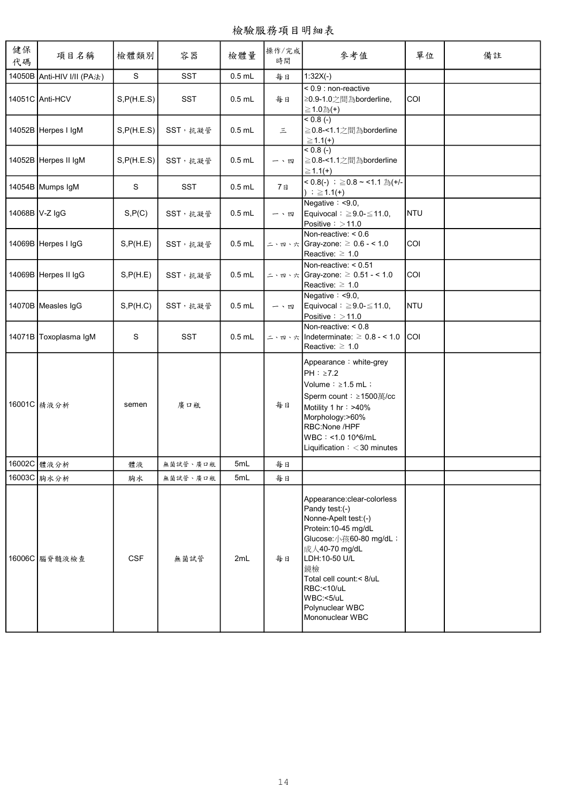| 健保<br>代碼 | 項目名稱                       | 檢體類別        | 容器         | 檢體量      | 操作/完成<br>時間 | 參考值                                                                                                                                                                                                                                                         | 單位         | 備註 |
|----------|----------------------------|-------------|------------|----------|-------------|-------------------------------------------------------------------------------------------------------------------------------------------------------------------------------------------------------------------------------------------------------------|------------|----|
|          | 14050B Anti-HIV I/II (PA法) | $\mathbf S$ | <b>SST</b> | $0.5$ mL | 每日          | $1:32X(-)$                                                                                                                                                                                                                                                  |            |    |
|          | 14051C Anti-HCV            | S, P(H.E.S) | <b>SST</b> | $0.5$ mL | 每日          | $< 0.9$ : non-reactive<br>≥0.9-1.0之間為borderline,<br>≧1.0為(+)                                                                                                                                                                                                | COI        |    |
|          | 14052B Herpes I IgM        | S, P(H.E.S) | SST, 抗凝管   | $0.5$ mL | $\equiv$    | $\sqrt{(-1)^2 + 0^2}$<br>≧0.8-<1.1之間為borderline<br>$\geq 1.1(+)$                                                                                                                                                                                            |            |    |
|          | 14052B Herpes II IgM       | S, P(H.E.S) | SST, 抗凝管   | $0.5$ mL | 一、四         | $< 0.8 (-)$<br>≧0.8-<1.1之間為borderline<br>$\geq 1.1(+)$                                                                                                                                                                                                      |            |    |
|          | 14054B Mumps IgM           | S           | SST        | $0.5$ mL | 7日          | < 0.8(-) ; ≥ 0.8 ~ < 1.1 為(+/-<br>) ; $≥ 1.1(+)$                                                                                                                                                                                                            |            |    |
|          | 14068B V-Z IgG             | S, P(C)     | SST, 抗凝管   | $0.5$ mL | 一、四         | Negative $: < 9.0$ ,<br>Equivocal: $\geq 9.0 - \leq 11.0$ ,<br>Positive $\colon$ $>$ 11.0                                                                                                                                                                   | <b>NTU</b> |    |
|          | 14069B Herpes I IgG        | S, P(H.E)   | SST, 抗凝管   | $0.5$ mL |             | Non-reactive: $< 0.6$<br>Reactive: $\geq 1.0$                                                                                                                                                                                                               | COI        |    |
|          | 14069B Herpes II IgG       | S, P(H.E)   | SST, 抗凝管   | $0.5$ mL |             | Non-reactive: $< 0.51$<br>Reactive: $\geq 1.0$                                                                                                                                                                                                              | COI        |    |
|          | 14070B Measles IgG         | S, P(H.C)   | SST, 抗凝管   | $0.5$ mL | 一、四         | Negative $: < 9.0$ ,<br>Equivocal: $\geq 9.0 - \leq 11.0$ ,<br>Positive $\colon$ $>$ 11.0                                                                                                                                                                   | <b>NTU</b> |    |
|          | 14071B Toxoplasma IgM      | S           | <b>SST</b> | $0.5$ mL |             | Non-reactive: $< 0.8$<br>$\leq$ \ m \ \ \       ndeterminate: $\geq 0.8$ - < 1.0<br>Reactive: $\geq 1.0$                                                                                                                                                    | lcoi       |    |
|          | 16001C   精液分析              | semen       | 廣口瓶        |          | 每日          | Appearance: white-grey<br>$PH: \ge 7.2$<br>Volume: $\geq 1.5$ mL ;<br>Sperm count: ≥1500萬/cc<br>Motility 1 hr: >40%<br>Morphology:>60%<br>RBC:None /HPF<br>WBC: <1.0 10^6/mL<br>Liquification: $<$ 30 minutes                                               |            |    |
|          | 16002C 體液分析                | 體液          | 無菌試管、廣口瓶   | 5mL      | 每日          |                                                                                                                                                                                                                                                             |            |    |
|          | 16003C 胸水分析                | 胸水          | 無菌試管、廣口瓶   | 5mL      | 每日          |                                                                                                                                                                                                                                                             |            |    |
|          | 16006C 腦脊髓液檢查              | <b>CSF</b>  | 無菌試管       | 2mL      | 每日          | Appearance:clear-colorless<br>Pandy test:(-)<br>Nonne-Apelt test:(-)<br>Protein: 10-45 mg/dL<br>Glucose: 小孩60-80 mg/dL;<br>成人40-70 mg/dL<br>LDH:10-50 U/L<br>鏡檢<br>Total cell count:< 8/uL<br>RBC:<10/uL<br>WBC:<5/uL<br>Polynuclear WBC<br>Mononuclear WBC |            |    |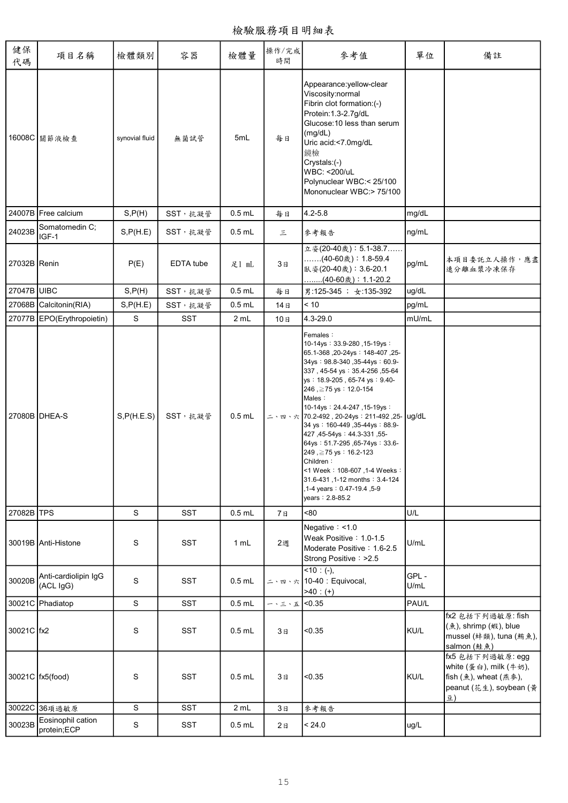檢驗服務項目明細表

| 健保<br>代碼     | 項目名稱                              | 檢體類別                    | 容器         | 檢體量      | 操作/完成<br>時間                                   | 參考值                                                                                                                                                                                                                                                                                                                                                                                                                                                                                                            | 單位           | 備註                                                                                                   |
|--------------|-----------------------------------|-------------------------|------------|----------|-----------------------------------------------|----------------------------------------------------------------------------------------------------------------------------------------------------------------------------------------------------------------------------------------------------------------------------------------------------------------------------------------------------------------------------------------------------------------------------------------------------------------------------------------------------------------|--------------|------------------------------------------------------------------------------------------------------|
|              | 16008C 關節液檢查                      | synovial fluid          | 無菌試管       | 5mL      | 每日                                            | Appearance:yellow-clear<br>Viscosity:normal<br>Fibrin clot formation: (-)<br>Protein: 1.3-2.7g/dL<br>Glucose: 10 less than serum<br>(mg/dL)<br>Uric acid:<7.0mg/dL<br>鏡檢<br>Crystals:(-)<br>WBC: <200/uL<br>Polynuclear WBC:< 25/100<br>Mononuclear WBC:> 75/100                                                                                                                                                                                                                                               |              |                                                                                                      |
|              | 24007B Free calcium               | S, P(H)                 | SST, 抗凝管   | $0.5$ mL | 每日                                            | $4.2 - 5.8$                                                                                                                                                                                                                                                                                                                                                                                                                                                                                                    | mg/dL        |                                                                                                      |
| 24023B       | Somatomedin C;<br>IGF-1           | S, P(H.E)               | SST, 抗凝管   | $0.5$ mL | 三                                             | 參考報告                                                                                                                                                                                                                                                                                                                                                                                                                                                                                                           | ng/mL        |                                                                                                      |
| 27032B Renin |                                   | P(E)                    | EDTA tube  | 足1 mL    | 3 <sub>H</sub>                                | 立姿(20-40歲): 5.1-38.7<br>(40-60歲): 1.8-59.4<br>臥姿(20-40歲): 3.6-20.1<br>……(40-60歲):1.1-20.2                                                                                                                                                                                                                                                                                                                                                                                                                      | pg/mL        | 本項目委託立人操作,應盡<br>速分離血漿冷凍保存                                                                            |
| 27047B UIBC  |                                   | S, P(H)                 | SST, 抗凝管   | $0.5$ mL | 每日                                            | 男:125-345 ; 女:135-392                                                                                                                                                                                                                                                                                                                                                                                                                                                                                          | ug/dL        |                                                                                                      |
|              | 27068B Calcitonin(RIA)            | S, P(H.E)               | SST, 抗凝管   | $0.5$ mL | 14日                                           | $<10$                                                                                                                                                                                                                                                                                                                                                                                                                                                                                                          | pg/mL        |                                                                                                      |
|              | 27077B EPO(Erythropoietin)        | S                       | <b>SST</b> | 2 mL     | 10日                                           | 4.3-29.0                                                                                                                                                                                                                                                                                                                                                                                                                                                                                                       | mU/mL        |                                                                                                      |
|              | 27080B DHEA-S                     | S, P(H.E.S)             | SST, 抗凝管   | $0.5$ mL |                                               | Females:<br>10-14ys: 33.9-280, 15-19ys:<br>-25, 148-407 : 20-24ys : 148-407<br>34ys: 98.8-340, 35-44ys: 60.9-<br>337, 45-54 ys: 35.4-256, 55-64<br>ys: 18.9-205, 65-74 ys: 9.40-<br>246, ≥75 ys: 12.0-154<br>Males:<br>10-14ys: 24.4-247, 15-19ys:<br>34 ys: 160-449, 35-44ys: 88.9-<br>427, 45-54ys: 44.3-331, 55-<br>64ys: 51.7-295, 65-74ys: 33.6-<br>249, ≥75 ys: 16.2-123<br>Children:<br><1 Week: 108-607, 1-4 Weeks:<br>31.6-431, 1-12 months: 3.4-124<br>,1-4 years: 0.47-19.4, 5-9<br>years: 2.8-85.2 |              |                                                                                                      |
| 27082B TPS   |                                   | S                       | <b>SST</b> | $0.5$ mL | 7日                                            | < 80                                                                                                                                                                                                                                                                                                                                                                                                                                                                                                           | U/L          |                                                                                                      |
|              | 30019B Anti-Histone               | S                       | <b>SST</b> | 1 mL     | 2週                                            | Negative $: < 1.0$<br>Weak Positive: 1.0-1.5<br>Moderate Positive: 1.6-2.5<br>Strong Positive: >2.5                                                                                                                                                                                                                                                                                                                                                                                                            | U/mL         |                                                                                                      |
| 30020B       | Anti-cardiolipin IgG<br>(ACL IgG) | S                       | SST        | $0.5$ mL |                                               | $\sqrt{10:(-)}$ ,<br>ニ、四、六 10-40 : Equivocal,<br>$>40: (+)$                                                                                                                                                                                                                                                                                                                                                                                                                                                    | GPL-<br>U/mL |                                                                                                      |
|              | 30021C Phadiatop                  | $\mathbf S$             | SST        | $0.5$ mL | $ \cdot$ $\leq$ $\cdot$ $\frac{\pi}{4}$ <0.35 |                                                                                                                                                                                                                                                                                                                                                                                                                                                                                                                | PAU/L        |                                                                                                      |
| 30021C   fx2 |                                   | S                       | <b>SST</b> | $0.5$ mL | 3日                                            | < 0.35                                                                                                                                                                                                                                                                                                                                                                                                                                                                                                         | KU/L         | fx2 包括下列過敏原: fish<br>(魚), shrimp (蝦), blue<br>mussel (蚌類), tuna (鮪魚),<br>salmon (鮭魚)                 |
|              | 30021C   fx5(food)                | S                       | <b>SST</b> | $0.5$ mL | 3日                                            | < 0.35                                                                                                                                                                                                                                                                                                                                                                                                                                                                                                         | KU/L         | fx5 包括下列過敏原: egg<br>white (蛋白), milk (牛奶),<br>fish (魚), wheat (燕麥),<br>peanut (花生), soybean (黃<br>쿄) |
|              | 30022C 36項過敏原                     | $\overline{\mathbf{s}}$ | SST        | 2 mL     | 3B                                            | 參考報告                                                                                                                                                                                                                                                                                                                                                                                                                                                                                                           |              |                                                                                                      |
| 30023B       | Eosinophil cation<br>protein;ECP  | ${\mathbb S}$           | SST        | $0.5$ mL | 2E                                            | < 24.0                                                                                                                                                                                                                                                                                                                                                                                                                                                                                                         | ug/L         |                                                                                                      |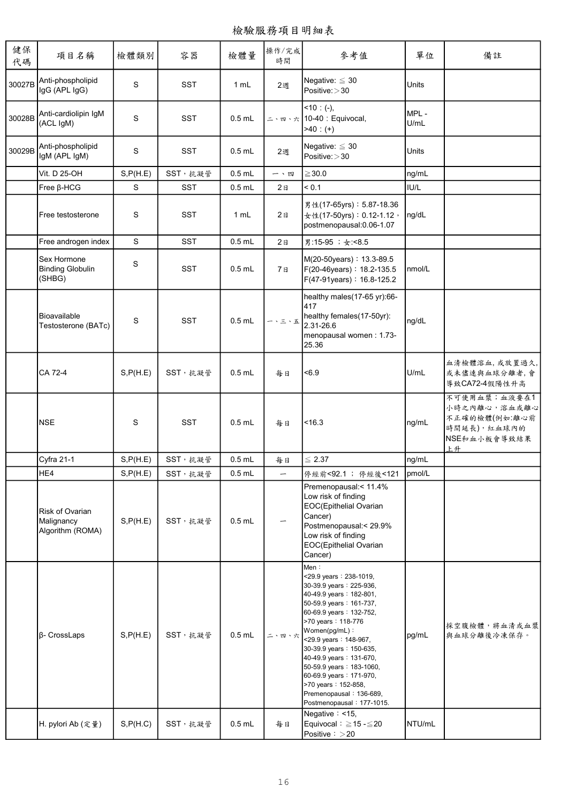| 健保<br>代碼 | 項目名稱                                              | 檢體類別        | 容器         | 檢體量      | 操作/完成<br>時間    | 參考值                                                                                                                                                                                                                                                                                                                                                                                                                      | 單位           | 備註                                                                                 |
|----------|---------------------------------------------------|-------------|------------|----------|----------------|--------------------------------------------------------------------------------------------------------------------------------------------------------------------------------------------------------------------------------------------------------------------------------------------------------------------------------------------------------------------------------------------------------------------------|--------------|------------------------------------------------------------------------------------|
| 30027B   | Anti-phospholipid<br>IgG (APL IgG)                | S           | SST        | 1 mL     | 2週             | Negative: $\leq 30$<br>Positive: >30                                                                                                                                                                                                                                                                                                                                                                                     | Units        |                                                                                    |
| 30028B   | Anti-cardiolipin IgM<br>(ACL IgM)                 | S           | <b>SST</b> | $0.5$ mL |                | $< 10$ : (-),<br>ニ、四、六 10-40 : Equivocal,<br>$-40: (+)$                                                                                                                                                                                                                                                                                                                                                                  | MPL-<br>U/mL |                                                                                    |
| 30029B   | Anti-phospholipid<br>IgM (APL IgM)                | $\mathbf S$ | <b>SST</b> | $0.5$ mL | 2週             | Negative: $\leq 30$<br>Positive: > 30                                                                                                                                                                                                                                                                                                                                                                                    | Units        |                                                                                    |
|          | Vit. D 25-OH                                      | S, P(H.E)   | SST,抗凝管    | $0.5$ mL | 一、四            | $\geq$ 30.0                                                                                                                                                                                                                                                                                                                                                                                                              | ng/mL        |                                                                                    |
|          | Free B-HCG                                        | S           | <b>SST</b> | $0.5$ mL | 2E             | < 0.1                                                                                                                                                                                                                                                                                                                                                                                                                    | IUI/L        |                                                                                    |
|          | Free testosterone                                 | S           | <b>SST</b> | 1 mL     | 2E             | 男性(17-65yrs): 5.87-18.36<br>女性(17-50yrs): 0.12-1.12,<br>postmenopausal:0.06-1.07                                                                                                                                                                                                                                                                                                                                         | ng/dL        |                                                                                    |
|          | Free androgen index                               | S           | <b>SST</b> | $0.5$ mL | 2 <sub>B</sub> | 男:15-95; 女:<8.5                                                                                                                                                                                                                                                                                                                                                                                                          |              |                                                                                    |
|          | Sex Hormone<br><b>Binding Globulin</b><br>(SHBG)  | S           | <b>SST</b> | $0.5$ mL | 7日             | M(20-50years): 13.3-89.5<br>F(20-46years): 18.2-135.5<br>F(47-91years): 16.8-125.2                                                                                                                                                                                                                                                                                                                                       | nmol/L       |                                                                                    |
|          | Bioavailable<br>Testosterone (BATc)               | S           | <b>SST</b> | $0.5$ mL | 一、三、五          | healthy males(17-65 yr):66-<br>417<br>healthy females(17-50yr):<br>2.31-26.6<br>menopausal women: 1.73-<br>25.36                                                                                                                                                                                                                                                                                                         | ng/dL        |                                                                                    |
|          | CA 72-4                                           | S, P(H.E)   | SST, 抗凝管   | $0.5$ mL | 每日             | <6.9                                                                                                                                                                                                                                                                                                                                                                                                                     | U/mL         | 血清檢體溶血,或放置過久,<br>或未儘速與血球分離者,會<br>導致CA72-4假陽性升高                                     |
|          | <b>NSE</b>                                        | S           | <b>SST</b> | $0.5$ mL | 每日             | < 16.3                                                                                                                                                                                                                                                                                                                                                                                                                   | ng/mL        | 不可使用血漿;血液要在1<br>小時之內離心,溶血或離心<br>不正確的檢體(例如 離心前<br>時間延長),紅血球內的<br>NSE和血小板會導致結果<br>上升 |
|          | <b>Cyfra 21-1</b>                                 | S, P(H.E)   | SST, 抗凝管   | $0.5$ mL | 每日             | $\leq 2.37$                                                                                                                                                                                                                                                                                                                                                                                                              | ng/mL        |                                                                                    |
|          | HE4                                               | S, P(H.E)   | SST, 抗凝管   | $0.5$ mL | —              | 停經前<92.1 ; 停經後<121                                                                                                                                                                                                                                                                                                                                                                                                       | pmol/L       |                                                                                    |
|          | Risk of Ovarian<br>Malignancy<br>Algorithm (ROMA) | S, P(H.E)   | SST, 抗凝管   | $0.5$ mL |                | Premenopausal:<11.4%<br>Low risk of finding<br>EOC(Epithelial Ovarian<br>Cancer)<br>Postmenopausal:< 29.9%<br>Low risk of finding<br>EOC(Epithelial Ovarian<br>Cancer)                                                                                                                                                                                                                                                   |              |                                                                                    |
|          | β- CrossLaps                                      | S, P(H.E)   | SST, 抗凝管   | $0.5$ mL | 二、四、六          | Men:<br><29.9 years: 238-1019,<br>30-39.9 years: 225-936,<br>40-49.9 years: 182-801,<br>50-59.9 years: 161-737,<br>60-69.9 years: 132-752,<br>>70 years: 118-776<br>Women(pg/mL):<br><29.9 years: 148-967,<br>30-39.9 years: 150-635,<br>40-49.9 years: 131-670,<br>50-59.9 years: 183-1060,<br>60-69.9 years: 171-970,<br>>70 years: 152-858,<br>Premenopausal: 136-689,<br>Postmenopausal: 177-1015.<br>Negative: <15, | pg/mL        | 採空腹檢體,將血清或血漿<br>與血球分離後冷凍保存。                                                        |
|          | H. pylori Ab (定量)                                 | S, P(H.C)   | SST, 抗凝管   | $0.5$ mL | 每日             | Equivocal: $\geq$ 15 - $\leq$ 20<br>Positive $\frac{1}{2}$ > 20                                                                                                                                                                                                                                                                                                                                                          | NTU/mL       |                                                                                    |